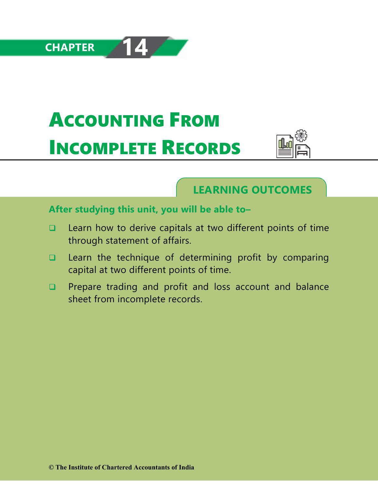# ACCOUNTING FROM INCOMPLETE RECORDS



# **LEARNING OUTCOMES**

# **After studying this unit, you will be able to–**

- $\Box$  Learn how to derive capitals at two different points of time through statement of affairs.
- $\Box$  Learn the technique of determining profit by comparing capital at two different points of time.
- **Q** Prepare trading and profit and loss account and balance sheet from incomplete records.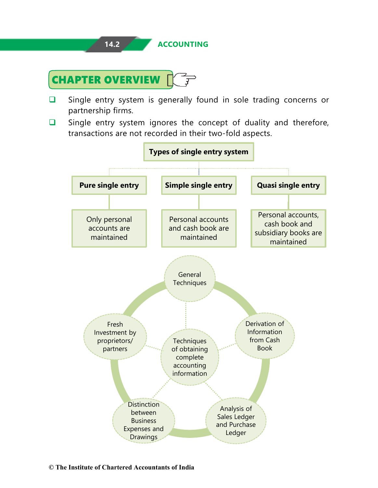

- $\Box$  Single entry system is generally found in sole trading concerns or partnership firms.
- $\Box$  Single entry system ignores the concept of duality and therefore, transactions are not recorded in their two-fold aspects.

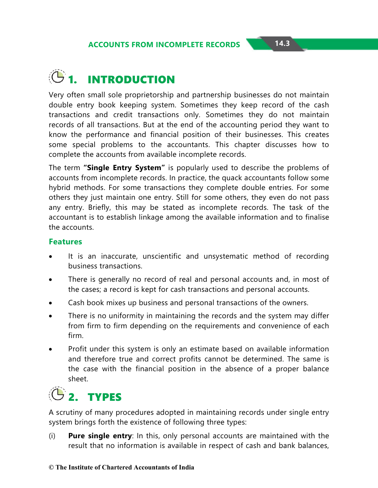# **1. INTRODUCTION**

Very often small sole proprietorship and partnership businesses do not maintain double entry book keeping system. Sometimes they keep record of the cash transactions and credit transactions only. Sometimes they do not maintain records of all transactions. But at the end of the accounting period they want to know the performance and financial position of their businesses. This creates some special problems to the accountants. This chapter discusses how to complete the accounts from available incomplete records.

The term **"Single Entry System"** is popularly used to describe the problems of accounts from incomplete records. In practice, the quack accountants follow some hybrid methods. For some transactions they complete double entries. For some others they just maintain one entry. Still for some others, they even do not pass any entry. Briefly, this may be stated as incomplete records. The task of the accountant is to establish linkage among the available information and to finalise the accounts.

#### **Features**

- It is an inaccurate, unscientific and unsystematic method of recording business transactions.
- There is generally no record of real and personal accounts and, in most of the cases; a record is kept for cash transactions and personal accounts.
- Cash book mixes up business and personal transactions of the owners.
- There is no uniformity in maintaining the records and the system may differ from firm to firm depending on the requirements and convenience of each firm.
- Profit under this system is only an estimate based on available information and therefore true and correct profits cannot be determined. The same is the case with the financial position in the absence of a proper balance sheet.



A scrutiny of many procedures adopted in maintaining records under single entry system brings forth the existence of following three types:

(i) **Pure single entry**: In this, only personal accounts are maintained with the result that no information is available in respect of cash and bank balances,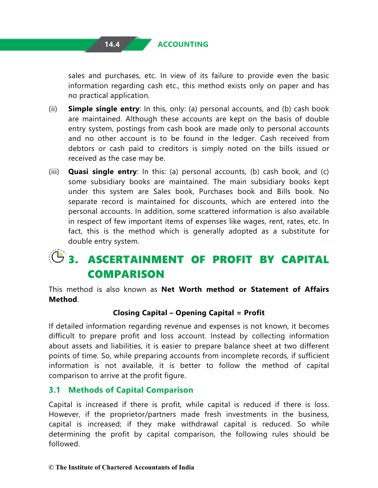

sales and purchases, etc. In view of its failure to provide even the basic information regarding cash etc., this method exists only on paper and has no practical application.

- (ii) **Simple single entry**: In this, only: (a) personal accounts, and (b) cash book are maintained. Although these accounts are kept on the basis of double entry system, postings from cash book are made only to personal accounts and no other account is to be found in the ledger. Cash received from debtors or cash paid to creditors is simply noted on the bills issued or received as the case may be.
- (iii) **Quasi single entry**: In this: (a) personal accounts, (b) cash book, and (c) some subsidiary books are maintained. The main subsidiary books kept under this system are Sales book, Purchases book and Bills book. No separate record is maintained for discounts, which are entered into the personal accounts. In addition, some scattered information is also available in respect of few important items of expenses like wages, rent, rates, etc. In fact, this is the method which is generally adopted as a substitute for double entry system.

# **3. ASCERTAINMENT OF PROFIT BY CAPITAL COMPARISON**

This method is also known as **Net Worth method or Statement of Affairs Method**.

### **Closing Capital – Opening Capital = Profit**

If detailed information regarding revenue and expenses is not known, it becomes difficult to prepare profit and loss account. Instead by collecting information about assets and liabilities, it is easier to prepare balance sheet at two different points of time. So, while preparing accounts from incomplete records, if sufficient information is not available, it is better to follow the method of capital comparison to arrive at the profit figure.

#### **3.1 Methods of Capital Comparison**

Capital is increased if there is profit, while capital is reduced if there is loss. However, if the proprietor/partners made fresh investments in the business, capital is increased; if they make withdrawal capital is reduced. So while determining the profit by capital comparison, the following rules should be followed.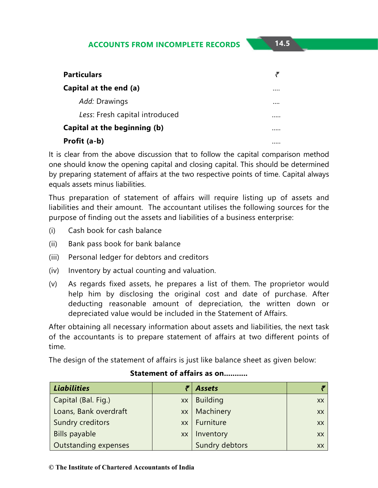| <b>Particulars</b>             |   |
|--------------------------------|---|
| Capital at the end (a)         |   |
| Add: Drawings                  |   |
| Less: Fresh capital introduced |   |
| Capital at the beginning (b)   |   |
| Profit (a-b)                   | . |

It is clear from the above discussion that to follow the capital comparison method one should know the opening capital and closing capital. This should be determined by preparing statement of affairs at the two respective points of time. Capital always equals assets minus liabilities.

Thus preparation of statement of affairs will require listing up of assets and liabilities and their amount. The accountant utilises the following sources for the purpose of finding out the assets and liabilities of a business enterprise:

- (i) Cash book for cash balance
- (ii) Bank pass book for bank balance
- (iii) Personal ledger for debtors and creditors
- (iv) Inventory by actual counting and valuation.
- (v) As regards fixed assets, he prepares a list of them. The proprietor would help him by disclosing the original cost and date of purchase. After deducting reasonable amount of depreciation, the written down or depreciated value would be included in the Statement of Affairs.

After obtaining all necessary information about assets and liabilities, the next task of the accountants is to prepare statement of affairs at two different points of time.

The design of the statement of affairs is just like balance sheet as given below:

| <b>Liabilities</b>    |           | <b>Assets</b>   |    |
|-----------------------|-----------|-----------------|----|
| Capital (Bal. Fig.)   | XX        | <b>Building</b> | XX |
| Loans, Bank overdraft | <b>XX</b> | Machinery       | XX |
| Sundry creditors      |           | xx   Furniture  | XX |
| Bills payable         | <b>XX</b> | Inventory       | XX |
| Outstanding expenses  |           | Sundry debtors  | XX |

#### **Statement of affairs as on...........**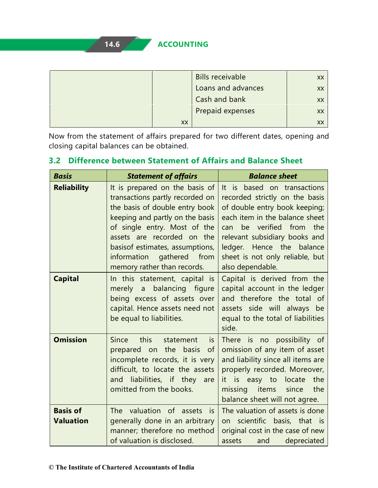|    | <b>Bills receivable</b> |    |
|----|-------------------------|----|
|    | Loans and advances      | XX |
|    | Cash and bank           | XX |
|    | Prepaid expenses        | XX |
| XX |                         |    |

Now from the statement of affairs prepared for two different dates, opening and closing capital balances can be obtained.

| <b>Basis</b>                        | <b>Statement of affairs</b>                                                                                                                                                                                                                                                                         | <b>Balance sheet</b>                                                                                                                                                                                                                                                                    |
|-------------------------------------|-----------------------------------------------------------------------------------------------------------------------------------------------------------------------------------------------------------------------------------------------------------------------------------------------------|-----------------------------------------------------------------------------------------------------------------------------------------------------------------------------------------------------------------------------------------------------------------------------------------|
| <b>Reliability</b>                  | It is prepared on the basis of<br>transactions partly recorded on<br>the basis of double entry book<br>keeping and partly on the basis<br>of single entry. Most of the<br>assets are recorded on the<br>basisof estimates, assumptions,<br>information gathered from<br>memory rather than records. | It is based on transactions<br>recorded strictly on the basis<br>of double entry book keeping;<br>each item in the balance sheet<br>verified from the<br>be<br>can<br>relevant subsidiary books and<br>ledger. Hence the balance<br>sheet is not only reliable, but<br>also dependable. |
| <b>Capital</b>                      | In this statement, capital is<br>balancing<br>figure<br>merely<br>$\mathsf{a}$<br>being excess of assets over<br>capital. Hence assets need not<br>be equal to liabilities.                                                                                                                         | Capital is derived from the<br>capital account in the ledger<br>and therefore the total of<br>assets side will always<br>be<br>equal to the total of liabilities<br>side.                                                                                                               |
| <b>Omission</b>                     | Since<br>this<br>statement<br>is.<br>prepared on the<br>basis<br><sub>of</sub><br>incomplete records, it is very<br>difficult, to locate the assets<br>and liabilities, if they<br>are<br>omitted from the books.                                                                                   | There is no possibility of<br>omission of any item of asset<br>and liability since all items are<br>properly recorded. Moreover,<br>the<br>it is easy to locate<br>items<br>the<br>missing<br>since<br>balance sheet will not agree.                                                    |
| <b>Basis of</b><br><b>Valuation</b> | The valuation of assets<br>is.<br>generally done in an arbitrary<br>manner; therefore no method<br>of valuation is disclosed.                                                                                                                                                                       | The valuation of assets is done<br>scientific basis, that is<br>on a<br>original cost in the case of new<br>depreciated<br>assets<br>and                                                                                                                                                |

# **3.2 Difference between Statement of Affairs and Balance Sheet**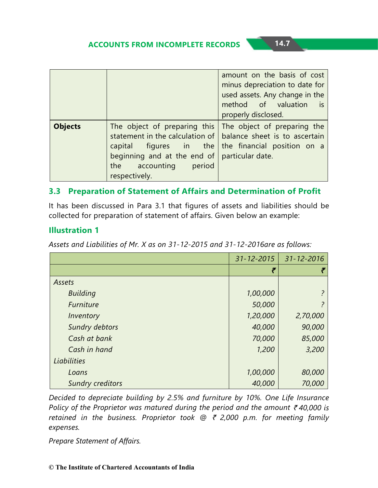|                |                                                                                                                                                                                                                                                                                 | amount on the basis of cost<br>minus depreciation to date for<br>used assets. Any change in the<br>method of valuation is<br>properly disclosed. |
|----------------|---------------------------------------------------------------------------------------------------------------------------------------------------------------------------------------------------------------------------------------------------------------------------------|--------------------------------------------------------------------------------------------------------------------------------------------------|
| <b>Objects</b> | The object of preparing this The object of preparing the<br>statement in the calculation of   balance sheet is to ascertain<br>capital figures in the the financial position on a<br>beginning and at the end of $ $ particular date.<br>the accounting period<br>respectively. |                                                                                                                                                  |

#### **3.3 Preparation of Statement of Affairs and Determination of Profit**

It has been discussed in Para 3.1 that figures of assets and liabilities should be collected for preparation of statement of affairs. Given below an example:

#### **Illustration 1**

*Assets and Liabilities of Mr. X as on 31-12-2015 and 31-12-2016are as follows:*

|                         | $31 - 12 - 2015$ | $31 - 12 - 2016$ |
|-------------------------|------------------|------------------|
|                         | ₹                |                  |
| Assets                  |                  |                  |
| <b>Building</b>         | 1,00,000         |                  |
| Furniture               | 50,000           |                  |
| Inventory               | 1,20,000         | 2,70,000         |
| Sundry debtors          | 40,000           | 90,000           |
| Cash at bank            | 70,000           | 85,000           |
| Cash in hand            | 1,200            | 3,200            |
| Liabilities             |                  |                  |
| Loans                   | 1,00,000         | 80,000           |
| <b>Sundry creditors</b> | 40,000           | 70,000           |

*Decided to depreciate building by 2.5% and furniture by 10%. One Life Insurance Policy of the Proprietor was matured during the period and the amount ₹40,000 is retained in the business. Proprietor took @ ₹ 2,000 p.m. for meeting family expenses.*

*Prepare Statement of Affairs.*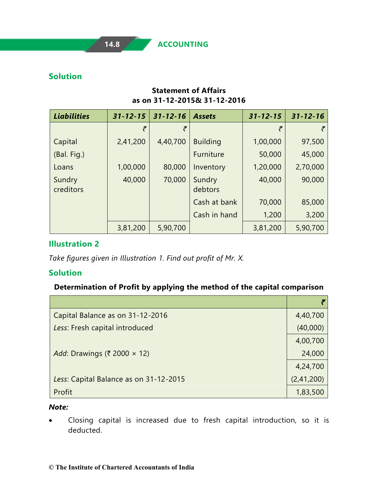#### **Solution**

#### **Statement of Affairs as on 31-12-2015& 31-12-2016**

| <b>Liabilities</b>  | $31 - 12 - 15$ | $31 - 12 - 16$ | <b>Assets</b>     | $31 - 12 - 15$ | $31 - 12 - 16$ |
|---------------------|----------------|----------------|-------------------|----------------|----------------|
|                     |                | ₹              |                   |                |                |
| Capital             | 2,41,200       | 4,40,700       | <b>Building</b>   | 1,00,000       | 97,500         |
| (Bal. Fig.)         |                |                | <b>Furniture</b>  | 50,000         | 45,000         |
| Loans               | 1,00,000       | 80,000         | Inventory         | 1,20,000       | 2,70,000       |
| Sundry<br>creditors | 40,000         | 70,000         | Sundry<br>debtors | 40,000         | 90,000         |
|                     |                |                | Cash at bank      | 70,000         | 85,000         |
|                     |                |                | Cash in hand      | 1,200          | 3,200          |
|                     | 3,81,200       | 5,90,700       |                   | 3,81,200       | 5,90,700       |

#### **Illustration 2**

*Take figures given in Illustration 1. Find out profit of Mr. X.*

#### **Solution**

#### **Determination of Profit by applying the method of the capital comparison**

| Capital Balance as on 31-12-2016       | 4,40,700   |
|----------------------------------------|------------|
| Less: Fresh capital introduced         | (40,000)   |
|                                        | 4,00,700   |
| Add: Drawings (₹ 2000 $\times$ 12)     | 24,000     |
|                                        | 4,24,700   |
| Less: Capital Balance as on 31-12-2015 | (2,41,200) |
| Profit                                 | 1,83,500   |

#### *Note:*

• Closing capital is increased due to fresh capital introduction, so it is deducted.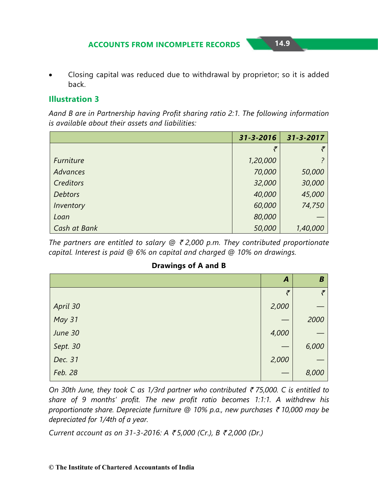• Closing capital was reduced due to withdrawal by proprietor; so it is added back.

#### **Illustration 3**

*Aand B are in Partnership having Profit sharing ratio 2:1. The following information is available about their assets and liabilities:*

|                  | 31-3-2016 | 31-3-2017      |
|------------------|-----------|----------------|
|                  | ₹         | $\tilde{\tau}$ |
| <b>Furniture</b> | 1,20,000  |                |
| <b>Advances</b>  | 70,000    | 50,000         |
| Creditors        | 32,000    | 30,000         |
| <b>Debtors</b>   | 40,000    | 45,000         |
| Inventory        | 60,000    | 74,750         |
| Loan             | 80,000    |                |
| Cash at Bank     | 50,000    | 1,40,000       |

*The partners are entitled to salary @* ` *2,000 p.m. They contributed proportionate capital. Interest is paid @ 6% on capital and charged @ 10% on drawings.*

| <b>Drawings of A and B</b> |  |  |
|----------------------------|--|--|
|----------------------------|--|--|

|               | $\boldsymbol{A}$ | B              |
|---------------|------------------|----------------|
|               | $\bar{\tau}$     | $\tilde{\tau}$ |
| April 30      | 2,000            |                |
| <b>May 31</b> |                  | 2000           |
| June 30       | 4,000            |                |
| Sept. 30      |                  | 6,000          |
| Dec. 31       | 2,000            |                |
| Feb. 28       |                  | 8,000          |

*On 30th June, they took C as 1/3rd partner who contributed* ` *75,000. C is entitled to share of 9 months' profit. The new profit ratio becomes 1:1:1. A withdrew his proportionate share. Depreciate furniture @ 10% p.a., new purchases ₹ 10,000 may be depreciated for 1/4th of a year.*

*Current account as on 31-3-2016: A* ` *5,000 (Cr.), B* ` *2,000 (Dr.)*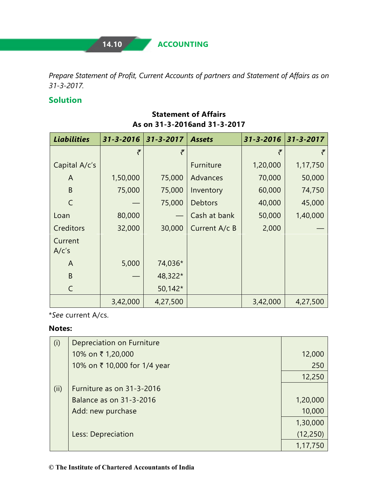**14.10 ACCOUNTING**

*Prepare Statement of Profit, Current Accounts of partners and Statement of Affairs as on 31-3-2017.*

#### **Solution**

| <b>Liabilities</b> | 31-3-2016 | $31 - 3 - 2017$ | <b>Assets</b>  | 31-3-2016 | 31-3-2017 |
|--------------------|-----------|-----------------|----------------|-----------|-----------|
|                    | ₹         | ₹               |                | ₹         | ₹         |
| Capital A/c's      |           |                 | Furniture      | 1,20,000  | 1,17,750  |
| A                  | 1,50,000  | 75,000          | Advances       | 70,000    | 50,000    |
| B                  | 75,000    | 75,000          | Inventory      | 60,000    | 74,750    |
| $\mathsf{C}$       |           | 75,000          | <b>Debtors</b> | 40,000    | 45,000    |
| Loan               | 80,000    |                 | Cash at bank   | 50,000    | 1,40,000  |
| Creditors          | 32,000    | 30,000          | Current A/c B  | 2,000     |           |
| Current<br>A/c's   |           |                 |                |           |           |
| A                  | 5,000     | 74,036*         |                |           |           |
| B                  |           | 48,322*         |                |           |           |
| $\mathsf{C}$       |           | 50,142*         |                |           |           |
|                    | 3,42,000  | 4,27,500        |                | 3,42,000  | 4,27,500  |

#### **Statement of Affairs As on 31-3-2016and 31-3-2017**

\**See* current A/cs.

#### **Notes:**

| (i)  | Depreciation on Furniture    |           |
|------|------------------------------|-----------|
|      | 10% on ₹ 1,20,000            | 12,000    |
|      | 10% on ₹ 10,000 for 1/4 year | 250       |
|      |                              | 12,250    |
| (ii) | Furniture as on 31-3-2016    |           |
|      | Balance as on 31-3-2016      | 1,20,000  |
|      | Add: new purchase            | 10,000    |
|      |                              | 1,30,000  |
|      | Less: Depreciation           | (12, 250) |
|      |                              | 1,17,750  |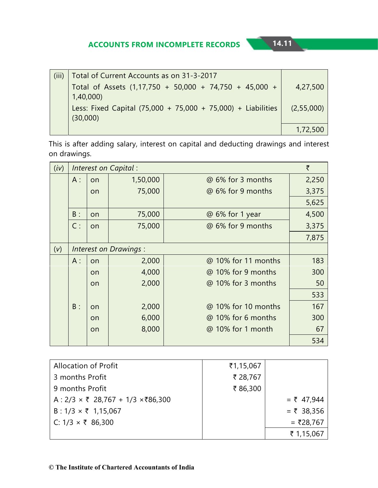| (iii) | Total of Current Accounts as on 31-3-2017                      |            |
|-------|----------------------------------------------------------------|------------|
|       | Total of Assets (1,17,750 + 50,000 + 74,750 + 45,000 +         | 4,27,500   |
|       | 1,40,000                                                       |            |
|       | Less: Fixed Capital $(75,000 + 75,000 + 75,000) +$ Liabilities | (2,55,000) |
|       | (30,000)                                                       |            |
|       |                                                                | 1,72,500   |

This is after adding salary, interest on capital and deducting drawings and interest on drawings.

| (iv) |       |    | Interest on Capital:  |                     | ₹     |
|------|-------|----|-----------------------|---------------------|-------|
|      | $A$ : | on | 1,50,000              | @ 6% for 3 months   | 2,250 |
|      |       | on | 75,000                | @ 6% for 9 months   | 3,375 |
|      |       |    |                       |                     | 5,625 |
|      | B:    | on | 75,000                | @ 6% for 1 year     | 4,500 |
|      | C:    | on | 75,000                | @ 6% for 9 months   | 3,375 |
|      |       |    |                       |                     | 7,875 |
| (v)  |       |    | Interest on Drawings: |                     |       |
|      | $A$ : | on | 2,000                 | @ 10% for 11 months | 183   |
|      |       | on | 4,000                 | @ 10% for 9 months  | 300   |
|      |       | on | 2,000                 | @ 10% for 3 months  | 50    |
|      |       |    |                       |                     | 533   |
|      | $B$ : | on | 2,000                 | @ 10% for 10 months | 167   |
|      |       | on | 6,000                 | @ 10% for 6 months  | 300   |
|      |       | on | 8,000                 | @ 10% for 1 month   | 67    |
|      |       |    |                       |                     | 534   |

| <b>Allocation of Profit</b>                                 | ₹1,15,067 |              |
|-------------------------------------------------------------|-----------|--------------|
| 3 months Profit                                             | ₹ 28,767  |              |
| 9 months Profit                                             | ₹86,300   |              |
| A : $2/3 \times \overline{5}$ 28,767 + 1/3 $\times$ ₹86,300 |           | $= 747,944$  |
| B: $1/3 \times \overline{5}$ 1,15,067                       |           | $=$ ₹ 38,356 |
| C: $1/3 \times \overline{5}$ 86,300                         |           | = ₹28,767    |
|                                                             |           | ₹ 1,15,067   |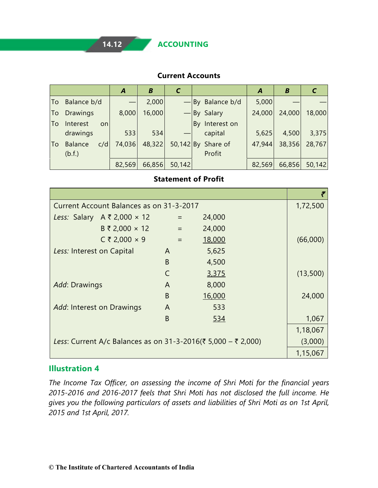**14.12 ACCOUNTING**

#### **Current Accounts**

|    |                       | A      | B      |        |                      | A      | В      |        |
|----|-----------------------|--------|--------|--------|----------------------|--------|--------|--------|
| To | Balance b/d           |        | 2,000  |        | $-$ By Balance b/d   | 5,000  |        |        |
| To | <b>Drawings</b>       | 8,000  | 16,000 |        | $-$ By Salary        | 24,000 | 24,000 | 18,000 |
| To | Interest<br><b>on</b> |        |        |        | By Interest on       |        |        |        |
|    | drawings              | 533    | 534    |        | capital              | 5,625  | 4,500  | 3,375  |
| To | c/d<br><b>Balance</b> | 74,036 | 48,322 |        | $50,142$ By Share of | 47,944 | 38,356 | 28,767 |
|    | (b.f.)                |        |        |        | Profit               |        |        |        |
|    |                       | 82,569 | 66,856 | 50,142 |                      | 82,569 | 66,856 | 50,142 |

#### **Statement of Profit**

| Current Account Balances as on 31-3-2017 |                                                               |   |          |        |  |          |
|------------------------------------------|---------------------------------------------------------------|---|----------|--------|--|----------|
|                                          | Less: Salary $A \bar{z}$ 2,000 $\times$ 12                    |   | $=$      | 24,000 |  |          |
|                                          | $B \t{7} 2,000 \times 12$                                     |   | $\equiv$ | 24,000 |  |          |
|                                          | $C$ ₹ 2,000 × 9                                               |   | $=$      | 18,000 |  | (66,000) |
| Less: Interest on Capital                |                                                               | A |          | 5,625  |  |          |
|                                          |                                                               | B |          | 4,500  |  |          |
|                                          |                                                               | C |          | 3,375  |  | (13,500) |
| Add: Drawings                            |                                                               | A |          | 8,000  |  |          |
|                                          |                                                               | B |          | 16,000 |  | 24,000   |
| Add: Interest on Drawings                |                                                               | A |          | 533    |  |          |
|                                          |                                                               | B |          | 534    |  | 1,067    |
|                                          |                                                               |   |          |        |  | 1,18,067 |
|                                          | Less: Current A/c Balances as on 31-3-2016(₹ 5,000 - ₹ 2,000) |   |          |        |  | (3,000)  |
|                                          |                                                               |   |          |        |  | 1,15,067 |

#### **Illustration 4**

*The Income Tax Officer, on assessing the income of Shri Moti for the financial years 2015-2016 and 2016-2017 feels that Shri Moti has not disclosed the full income. He gives you the following particulars of assets and liabilities of Shri Moti as on 1st April, 2015 and 1st April, 2017.*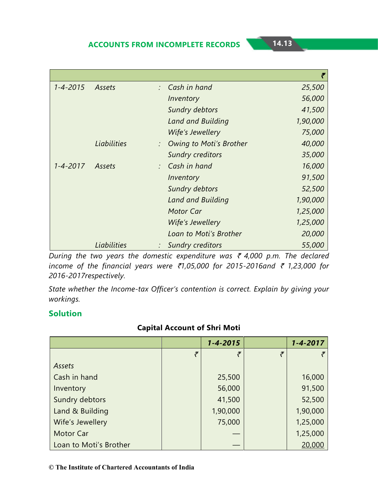| $1 - 4 - 2015$ | Assets      | $\therefore$ Cash in hand | 25,500   |
|----------------|-------------|---------------------------|----------|
|                |             | Inventory                 | 56,000   |
|                |             | Sundry debtors            | 41,500   |
|                |             | Land and Building         | 1,90,000 |
|                |             | Wife's Jewellery          | 75,000   |
|                | Liabilities | Owing to Moti's Brother   | 40,000   |
|                |             | <b>Sundry creditors</b>   | 35,000   |
| $1 - 4 - 2017$ | Assets      | $\therefore$ Cash in hand | 16,000   |
|                |             | Inventory                 | 91,500   |
|                |             | Sundry debtors            | 52,500   |
|                |             | Land and Building         | 1,90,000 |
|                |             | <b>Motor Car</b>          | 1,25,000 |
|                |             | Wife's Jewellery          | 1,25,000 |
|                |             | Loan to Moti's Brother    | 20,000   |
|                | Liabilities | <b>Sundry creditors</b>   | 55,000   |

*During the two years the domestic expenditure was ₹ 4,000 p.m. The declared income of the financial years were ₹1,05,000 for 2015-2016and ₹ 1,23,000 for 2016-2017respectively.*

*State whether the Income-tax Officer's contention is correct. Explain by giving your workings.*

#### **Solution**

#### **Capital Account of Shri Moti**

|                        |           | $1 - 4 - 2015$ |   | $1 - 4 - 2017$ |
|------------------------|-----------|----------------|---|----------------|
|                        | $\bar{z}$ | $\tilde{\tau}$ | ₹ |                |
| Assets                 |           |                |   |                |
| Cash in hand           |           | 25,500         |   | 16,000         |
| Inventory              |           | 56,000         |   | 91,500         |
| Sundry debtors         |           | 41,500         |   | 52,500         |
| Land & Building        |           | 1,90,000       |   | 1,90,000       |
| Wife's Jewellery       |           | 75,000         |   | 1,25,000       |
| Motor Car              |           |                |   | 1,25,000       |
| Loan to Moti's Brother |           |                |   | 20,000         |

**© The Institute of Chartered Accountants of India**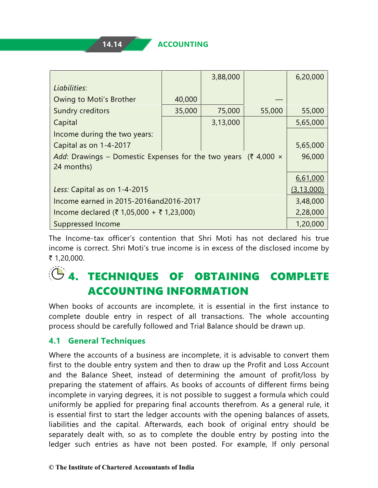|                                                                                  |        | 3,88,000 |        | 6,20,000     |  |  |
|----------------------------------------------------------------------------------|--------|----------|--------|--------------|--|--|
| Liabilities:                                                                     |        |          |        |              |  |  |
| Owing to Moti's Brother                                                          | 40,000 |          |        |              |  |  |
| Sundry creditors                                                                 | 35,000 | 75,000   | 55,000 | 55,000       |  |  |
| Capital                                                                          |        | 3,13,000 |        | 5,65,000     |  |  |
| Income during the two years:                                                     |        |          |        |              |  |  |
| Capital as on 1-4-2017                                                           |        |          |        | 5,65,000     |  |  |
| Add: Drawings – Domestic Expenses for the two years ( $\bar{\xi}$ 4,000 $\times$ |        |          |        | 96,000       |  |  |
| 24 months)                                                                       |        |          |        |              |  |  |
|                                                                                  |        |          |        | 6,61,000     |  |  |
| Less: Capital as on 1-4-2015                                                     |        |          |        | (3, 13, 000) |  |  |
| Income earned in 2015-2016and2016-2017                                           |        |          |        |              |  |  |
| Income declared (₹ 1,05,000 + ₹ 1,23,000)                                        |        |          |        | 2,28,000     |  |  |
| Suppressed Income                                                                |        |          |        | 1,20,000     |  |  |

The Income-tax officer's contention that Shri Moti has not declared his true income is correct. Shri Moti's true income is in excess of the disclosed income by ₹ 1,20,000.

# **4. TECHNIQUES OF OBTAINING COMPLETE** ACCOUNTING INFORMATION

When books of accounts are incomplete, it is essential in the first instance to complete double entry in respect of all transactions. The whole accounting process should be carefully followed and Trial Balance should be drawn up.

#### **4.1 General Techniques**

Where the accounts of a business are incomplete, it is advisable to convert them first to the double entry system and then to draw up the Profit and Loss Account and the Balance Sheet, instead of determining the amount of profit/loss by preparing the statement of affairs. As books of accounts of different firms being incomplete in varying degrees, it is not possible to suggest a formula which could uniformly be applied for preparing final accounts therefrom. As a general rule, it is essential first to start the ledger accounts with the opening balances of assets, liabilities and the capital. Afterwards, each book of original entry should be separately dealt with, so as to complete the double entry by posting into the ledger such entries as have not been posted. For example, If only personal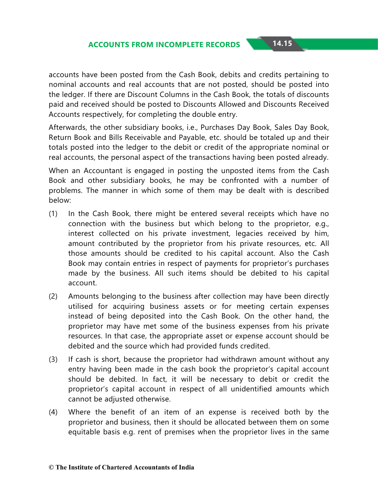accounts have been posted from the Cash Book, debits and credits pertaining to nominal accounts and real accounts that are not posted, should be posted into the ledger. If there are Discount Columns in the Cash Book, the totals of discounts paid and received should be posted to Discounts Allowed and Discounts Received Accounts respectively, for completing the double entry.

Afterwards, the other subsidiary books, i.e., Purchases Day Book, Sales Day Book, Return Book and Bills Receivable and Payable, etc. should be totaled up and their totals posted into the ledger to the debit or credit of the appropriate nominal or real accounts, the personal aspect of the transactions having been posted already.

When an Accountant is engaged in posting the unposted items from the Cash Book and other subsidiary books, he may be confronted with a number of problems. The manner in which some of them may be dealt with is described below:

- (1) In the Cash Book, there might be entered several receipts which have no connection with the business but which belong to the proprietor, e.g., interest collected on his private investment, legacies received by him, amount contributed by the proprietor from his private resources, etc. All those amounts should be credited to his capital account. Also the Cash Book may contain entries in respect of payments for proprietor's purchases made by the business. All such items should be debited to his capital account.
- (2) Amounts belonging to the business after collection may have been directly utilised for acquiring business assets or for meeting certain expenses instead of being deposited into the Cash Book. On the other hand, the proprietor may have met some of the business expenses from his private resources. In that case, the appropriate asset or expense account should be debited and the source which had provided funds credited.
- (3) If cash is short, because the proprietor had withdrawn amount without any entry having been made in the cash book the proprietor's capital account should be debited. In fact, it will be necessary to debit or credit the proprietor's capital account in respect of all unidentified amounts which cannot be adjusted otherwise.
- (4) Where the benefit of an item of an expense is received both by the proprietor and business, then it should be allocated between them on some equitable basis e.g. rent of premises when the proprietor lives in the same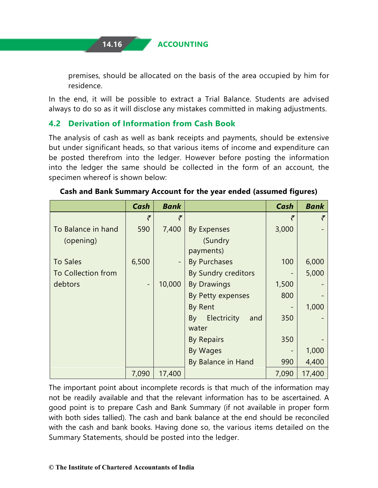premises, should be allocated on the basis of the area occupied by him for residence.

In the end, it will be possible to extract a Trial Balance. Students are advised always to do so as it will disclose any mistakes committed in making adjustments.

#### **4.2 Derivation of Information from Cash Book**

The analysis of cash as well as bank receipts and payments, should be extensive but under significant heads, so that various items of income and expenditure can be posted therefrom into the ledger. However before posting the information into the ledger the same should be collected in the form of an account, the specimen whereof is shown below:

|                    | Cash           | <b>Bank</b> |                          | Cash  | <b>Bank</b> |
|--------------------|----------------|-------------|--------------------------|-------|-------------|
|                    | ₹              | ₹           |                          | ₹     | ₹           |
| To Balance in hand | 590            | 7,400       | <b>By Expenses</b>       | 3,000 |             |
| (opening)          |                |             | (Sundry                  |       |             |
|                    |                |             | payments)                |       |             |
| <b>To Sales</b>    | 6,500          |             | <b>By Purchases</b>      | 100   | 6,000       |
| To Collection from |                |             | By Sundry creditors      |       | 5,000       |
| debtors            | $\overline{a}$ | 10,000      | <b>By Drawings</b>       | 1,500 |             |
|                    |                |             | By Petty expenses        | 800   |             |
|                    |                |             | By Rent                  |       | 1,000       |
|                    |                |             | Electricity<br>By<br>and | 350   |             |
|                    |                |             | water                    |       |             |
|                    |                |             | By Repairs               | 350   |             |
|                    |                |             | By Wages                 |       | 1,000       |
|                    |                |             | By Balance in Hand       | 990   | 4,400       |
|                    | 7,090          | 17,400      |                          | 7,090 | 17,400      |

#### **Cash and Bank Summary Account for the year ended (assumed figures)**

The important point about incomplete records is that much of the information may not be readily available and that the relevant information has to be ascertained. A good point is to prepare Cash and Bank Summary (if not available in proper form with both sides tallied). The cash and bank balance at the end should be reconciled with the cash and bank books. Having done so, the various items detailed on the Summary Statements, should be posted into the ledger.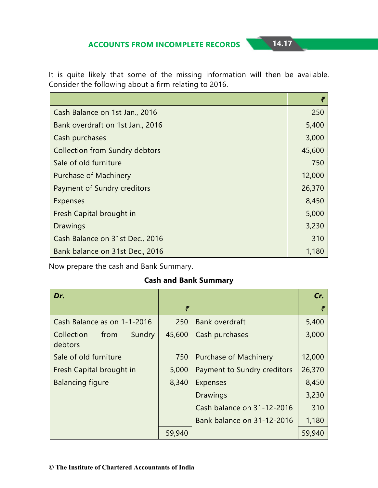It is quite likely that some of the missing information will then be available. Consider the following about a firm relating to 2016.

| Cash Balance on 1st Jan., 2016        | 250    |
|---------------------------------------|--------|
| Bank overdraft on 1st Jan., 2016      | 5,400  |
| Cash purchases                        | 3,000  |
| <b>Collection from Sundry debtors</b> | 45,600 |
| Sale of old furniture                 | 750    |
| <b>Purchase of Machinery</b>          | 12,000 |
| Payment of Sundry creditors           | 26,370 |
| Expenses                              | 8,450  |
| Fresh Capital brought in              | 5,000  |
| Drawings                              | 3,230  |
| Cash Balance on 31st Dec., 2016       | 310    |
| Bank balance on 31st Dec., 2016       | 1,180  |

Now prepare the cash and Bank Summary.

#### **Cash and Bank Summary**

| Dr.                                     |        |                              | Cr.    |
|-----------------------------------------|--------|------------------------------|--------|
|                                         | ₹      |                              | ₹      |
| Cash Balance as on 1-1-2016             | 250    | <b>Bank overdraft</b>        | 5,400  |
| Collection<br>Sundry<br>from<br>debtors | 45,600 | Cash purchases               | 3,000  |
| Sale of old furniture                   | 750    | <b>Purchase of Machinery</b> | 12,000 |
| Fresh Capital brought in                | 5,000  | Payment to Sundry creditors  | 26,370 |
| <b>Balancing figure</b>                 | 8,340  | <b>Expenses</b>              | 8,450  |
|                                         |        | <b>Drawings</b>              | 3,230  |
|                                         |        | Cash balance on 31-12-2016   | 310    |
|                                         |        | Bank balance on 31-12-2016   | 1,180  |
|                                         | 59,940 |                              | 59,940 |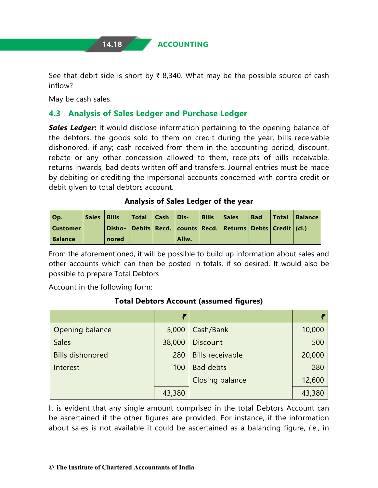**14.18 ACCOUNTING**

See that debit side is short by  $\bar{\tau}$  8,340. What may be the possible source of cash inflow?

May be cash sales.

### **4.3 Analysis of Sales Ledger and Purchase Ledger**

*Sales Ledger***:** It would disclose information pertaining to the opening balance of the debtors, the goods sold to them on credit during the year, bills receivable dishonored, if any; cash received from them in the accounting period, discount, rebate or any other concession allowed to them, receipts of bills receivable, returns inwards, bad debts written off and transfers. Journal entries must be made by debiting or crediting the impersonal accounts concerned with contra credit or debit given to total debtors account.

#### **Analysis of Sales Ledger of the year**

| Op.            | Sales   Bills |       | Total   Cash   Dis- |       | <b>Bills</b> | Sales                                                                       | <b>Bad</b> | Total   Balance |
|----------------|---------------|-------|---------------------|-------|--------------|-----------------------------------------------------------------------------|------------|-----------------|
| Customer       |               |       |                     |       |              | Disho-   Debits   Recd.   counts   Recd.   Returns   Debts   Credit   (cl.) |            |                 |
| <b>Balance</b> |               | nored |                     | Allw. |              |                                                                             |            |                 |

From the aforementioned, it will be possible to build up information about sales and other accounts which can then be posted in totals, if so desired. It would also be possible to prepare Total Debtors

Account in the following form:

#### **Total Debtors Account (assumed figures)**

|                         | ₹      |                         |        |
|-------------------------|--------|-------------------------|--------|
| Opening balance         | 5,000  | Cash/Bank               | 10,000 |
| <b>Sales</b>            | 38,000 | <b>Discount</b>         | 500    |
| <b>Bills dishonored</b> | 280    | <b>Bills receivable</b> | 20,000 |
| Interest                | 100    | <b>Bad debts</b>        | 280    |
|                         |        | <b>Closing balance</b>  | 12,600 |
|                         | 43,380 |                         | 43,380 |

It is evident that any single amount comprised in the total Debtors Account can be ascertained if the other figures are provided. For instance, if the information about sales is not available it could be ascertained as a balancing figure, *i.e.,* in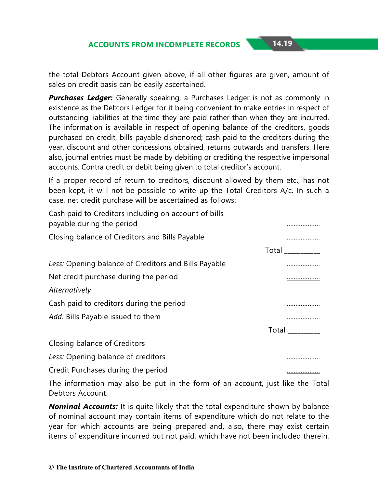the total Debtors Account given above, if all other figures are given, amount of sales on credit basis can be easily ascertained.

*Purchases Ledger:* Generally speaking, a Purchases Ledger is not as commonly in existence as the Debtors Ledger for it being convenient to make entries in respect of outstanding liabilities at the time they are paid rather than when they are incurred. The information is available in respect of opening balance of the creditors, goods purchased on credit, bills payable dishonored; cash paid to the creditors during the year, discount and other concessions obtained, returns outwards and transfers. Here also, journal entries must be made by debiting or crediting the respective impersonal accounts. Contra credit or debit being given to total creditor's account.

If a proper record of return to creditors, discount allowed by them etc., has not been kept, it will not be possible to write up the Total Creditors A/c. In such a case, net credit purchase will be ascertained as follows:

| Cash paid to Creditors including on account of bills<br>payable during the period | .                                  |
|-----------------------------------------------------------------------------------|------------------------------------|
| Closing balance of Creditors and Bills Payable                                    | .                                  |
|                                                                                   | Total <b>contract to the State</b> |
| Less: Opening balance of Creditors and Bills Payable                              |                                    |
| Net credit purchase during the period                                             |                                    |
| Alternatively                                                                     |                                    |
| Cash paid to creditors during the period                                          |                                    |
| Add: Bills Payable issued to them                                                 | .                                  |
|                                                                                   | <b>Total</b>                       |
| Closing balance of Creditors                                                      |                                    |
| Less: Opening balance of creditors                                                | .                                  |
| Credit Purchases during the period                                                |                                    |

The information may also be put in the form of an account, just like the Total Debtors Account.

*Nominal Accounts:* It is quite likely that the total expenditure shown by balance of nominal account may contain items of expenditure which do not relate to the year for which accounts are being prepared and, also, there may exist certain items of expenditure incurred but not paid, which have not been included therein.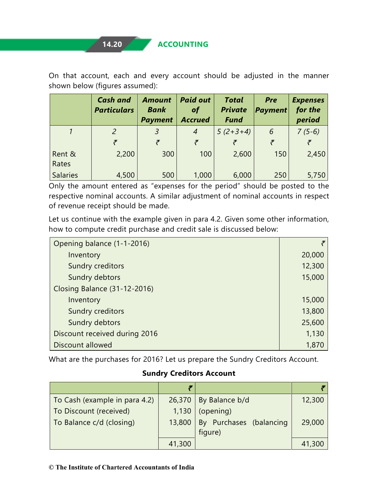On that account, each and every account should be adjusted in the manner shown below (figures assumed):

|                 | <b>Cash and</b><br><b>Particulars</b> | <b>Amount</b><br><b>Bank</b><br><b>Payment</b> | <b>Paid out</b><br><b>of</b><br><b>Accrued</b> | <b>Total</b><br><b>Private</b><br><b>Fund</b> | <b>Pre</b><br><b>Payment</b> | <b>Expenses</b><br>for the<br>period |
|-----------------|---------------------------------------|------------------------------------------------|------------------------------------------------|-----------------------------------------------|------------------------------|--------------------------------------|
|                 | $\mathcal{P}$                         |                                                | 4                                              | $5(2+3+4)$                                    | 6                            | $7(5-6)$                             |
|                 | F.                                    |                                                | F.                                             |                                               | F.                           | Ŧ                                    |
| Rent &<br>Rates | 2,200                                 | 300                                            | 100                                            | 2,600                                         | 150                          | 2,450                                |
| <b>Salaries</b> | 4,500                                 | 500                                            | 1,000                                          | 6,000                                         | 250                          | 5,750                                |

Only the amount entered as "expenses for the period" should be posted to the respective nominal accounts. A similar adjustment of nominal accounts in respect of revenue receipt should be made.

Let us continue with the example given in para 4.2. Given some other information, how to compute credit purchase and credit sale is discussed below:

| Opening balance (1-1-2016)    |        |
|-------------------------------|--------|
| Inventory                     | 20,000 |
| Sundry creditors              | 12,300 |
| Sundry debtors                | 15,000 |
| Closing Balance (31-12-2016)  |        |
| Inventory                     | 15,000 |
| Sundry creditors              | 13,800 |
| Sundry debtors                | 25,600 |
| Discount received during 2016 | 1,130  |
| Discount allowed              | 1,870  |

What are the purchases for 2016? Let us prepare the Sundry Creditors Account.

#### **Sundry Creditors Account**

| To Cash (example in para 4.2) |        | $26,370$ By Balance b/d | 12,300 |
|-------------------------------|--------|-------------------------|--------|
| To Discount (received)        | 1,130  | $\log$ (opening)        |        |
| To Balance c/d (closing)      | 13,800 | By Purchases (balancing | 29,000 |
|                               |        | figure)                 |        |
|                               | 41,300 |                         | 41,300 |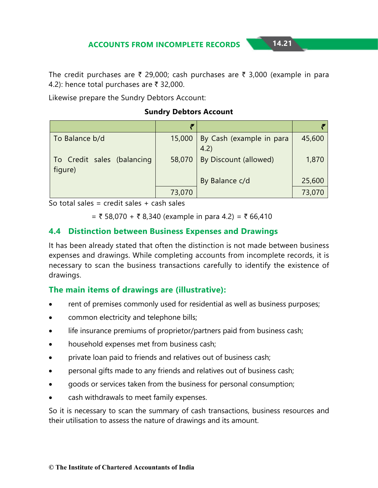The credit purchases are  $\bar{\tau}$  29,000; cash purchases are  $\bar{\tau}$  3,000 (example in para 4.2): hence total purchases are  $\bar{\tau}$  32,000.

Likewise prepare the Sundry Debtors Account:

#### **Sundry Debtors Account**

| To Balance b/d                        |        | 15,000   By Cash (example in para<br>4.2) | 45,600 |
|---------------------------------------|--------|-------------------------------------------|--------|
| To Credit sales (balancing<br>figure) | 58,070 | By Discount (allowed)                     | 1,870  |
|                                       |        | By Balance c/d                            | 25,600 |
|                                       | 73,070 |                                           | 73,070 |

So total sales = credit sales  $+$  cash sales

 $=$  ₹ 58,070 + ₹ 8,340 (example in para 4.2) = ₹ 66,410

#### **4.4 Distinction between Business Expenses and Drawings**

It has been already stated that often the distinction is not made between business expenses and drawings. While completing accounts from incomplete records, it is necessary to scan the business transactions carefully to identify the existence of drawings.

#### **The main items of drawings are (illustrative):**

- rent of premises commonly used for residential as well as business purposes;
- common electricity and telephone bills;
- life insurance premiums of proprietor/partners paid from business cash;
- household expenses met from business cash;
- private loan paid to friends and relatives out of business cash;
- personal gifts made to any friends and relatives out of business cash;
- goods or services taken from the business for personal consumption;
- cash withdrawals to meet family expenses.

So it is necessary to scan the summary of cash transactions, business resources and their utilisation to assess the nature of drawings and its amount.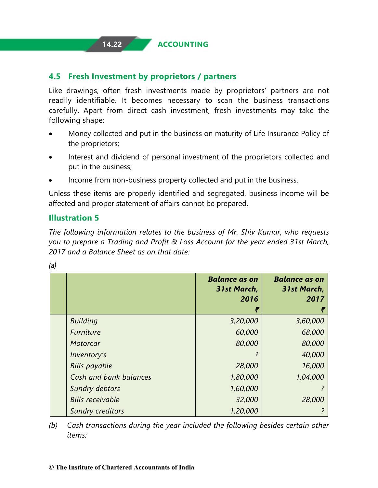## **14.22 ACCOUNTING**

#### **4.5 Fresh Investment by proprietors / partners**

Like drawings, often fresh investments made by proprietors' partners are not readily identifiable. It becomes necessary to scan the business transactions carefully. Apart from direct cash investment, fresh investments may take the following shape:

- Money collected and put in the business on maturity of Life Insurance Policy of the proprietors;
- Interest and dividend of personal investment of the proprietors collected and put in the business;
- Income from non-business property collected and put in the business.

Unless these items are properly identified and segregated, business income will be affected and proper statement of affairs cannot be prepared.

#### **Illustration 5**

*The following information relates to the business of Mr. Shiv Kumar, who requests you to prepare a Trading and Profit & Loss Account for the year ended 31st March, 2017 and a Balance Sheet as on that date:*

|                         | <b>Balance as on</b><br>31st March,<br>2016 | <b>Balance as on</b><br>31st March,<br>2017 |
|-------------------------|---------------------------------------------|---------------------------------------------|
| <b>Building</b>         | 3,20,000                                    | 3,60,000                                    |
| Furniture               | 60,000                                      | 68,000                                      |
| Motorcar                | 80,000                                      | 80,000                                      |
| Inventory's             |                                             | 40,000                                      |
| <b>Bills payable</b>    | 28,000                                      | 16,000                                      |
| Cash and bank balances  | 1,80,000                                    | 1,04,000                                    |
| Sundry debtors          | 1,60,000                                    |                                             |
| <b>Bills receivable</b> | 32,000                                      | 28,000                                      |
| <b>Sundry creditors</b> | 1,20,000                                    |                                             |

*(a)*

*(b) Cash transactions during the year included the following besides certain other items:*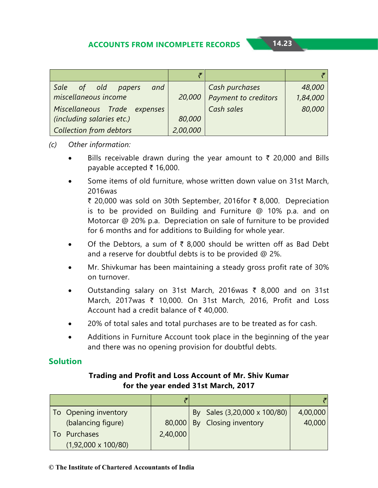| Sale of old papers<br>and    |          | Cash purchases              | 48,000   |
|------------------------------|----------|-----------------------------|----------|
| miscellaneous income         | 20,000   | <b>Payment to creditors</b> | 1,84,000 |
| Miscellaneous Trade expenses |          | Cash sales                  | 80,000   |
| (including salaries etc.)    | 80,000   |                             |          |
| Collection from debtors      | 2,00,000 |                             |          |

#### *(c) Other information:*

- Bills receivable drawn during the year amount to  $\bar{\tau}$  20,000 and Bills payable accepted  $\bar{\tau}$  16,000.
- Some items of old furniture, whose written down value on 31st March, 2016was

₹ 20,000 was sold on 30th September, 2016for ₹ 8,000. Depreciation is to be provided on Building and Furniture @ 10% p.a. and on Motorcar @ 20% p.a. Depreciation on sale of furniture to be provided for 6 months and for additions to Building for whole year.

- Of the Debtors, a sum of  $\bar{\tau}$  8,000 should be written off as Bad Debt and a reserve for doubtful debts is to be provided @ 2%.
- Mr. Shivkumar has been maintaining a steady gross profit rate of 30% on turnover.
- Outstanding salary on 31st March, 2016was ₹ 8,000 and on 31st March, 2017was ₹ 10,000. On 31st March, 2016, Profit and Loss Account had a credit balance of  $\bar{\tau}$  40,000.
- 20% of total sales and total purchases are to be treated as for cash.
- Additions in Furniture Account took place in the beginning of the year and there was no opening provision for doubtful debts.

#### **Solution**

#### **Trading and Profit and Loss Account of Mr. Shiv Kumar for the year ended 31st March, 2017**

| To Opening inventory       |          | By Sales (3,20,000 x 100/80) | 4,00,000 |
|----------------------------|----------|------------------------------|----------|
| (balancing figure)         |          | 80,000 By Closing inventory  | 40,000   |
| Purchases                  | 2,40,000 |                              |          |
| $(1,92,000 \times 100/80)$ |          |                              |          |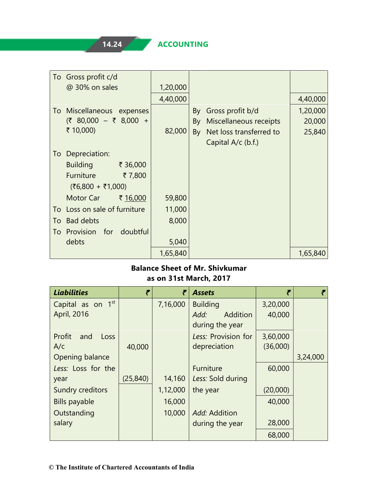| To Gross profit c/d              |          |                               |          |
|----------------------------------|----------|-------------------------------|----------|
| @ 30% on sales                   | 1,20,000 |                               |          |
|                                  | 4,40,000 |                               | 4,40,000 |
| Miscellaneous expenses<br>l To   |          | By Gross profit b/d           | 1,20,000 |
| $(3, 80,000 - 3, 8,000 +$        |          | By Miscellaneous receipts     | 20,000   |
| ₹ 10,000)                        | 82,000   | Net loss transferred to<br>By | 25,840   |
|                                  |          | Capital A/c (b.f.)            |          |
| Depreciation:<br>To              |          |                               |          |
| <b>Building</b><br>₹ 36,000      |          |                               |          |
| Furniture<br>₹7,800              |          |                               |          |
| $(56,800 + 51,000)$              |          |                               |          |
| Motor Car<br>₹ 16,000            | 59,800   |                               |          |
| Loss on sale of furniture<br>To: | 11,000   |                               |          |
| <b>Bad debts</b><br>To           | 8,000    |                               |          |
| Provision for doubtful<br>To     |          |                               |          |
| debts                            | 5,040    |                               |          |
|                                  | 1,65,840 |                               | 1,65,840 |

#### **Balance Sheet of Mr. Shivkumar as on 31st March, 2017**

| <b>Liabilities</b>    | ₹         | ₹        | <b>Assets</b>       | ₹        |          |
|-----------------------|-----------|----------|---------------------|----------|----------|
| Capital as on 1st     |           | 7,16,000 | <b>Building</b>     | 3,20,000 |          |
| April, 2016           |           |          | Addition<br>Add:    | 40,000   |          |
|                       |           |          | during the year     |          |          |
| Profit<br>and<br>Loss |           |          | Less: Provision for | 3,60,000 |          |
| A/c                   | 40,000    |          | depreciation        | (36,000) |          |
| Opening balance       |           |          |                     |          | 3,24,000 |
| Less: Loss for the    |           |          | Furniture           | 60,000   |          |
| year                  | (25, 840) | 14,160   | Less: Sold during   |          |          |
| Sundry creditors      |           | 1,12,000 | the year            | (20,000) |          |
| <b>Bills payable</b>  |           | 16,000   |                     | 40,000   |          |
| Outstanding           |           | 10,000   | Add: Addition       |          |          |
| salary                |           |          | during the year     | 28,000   |          |
|                       |           |          |                     | 68,000   |          |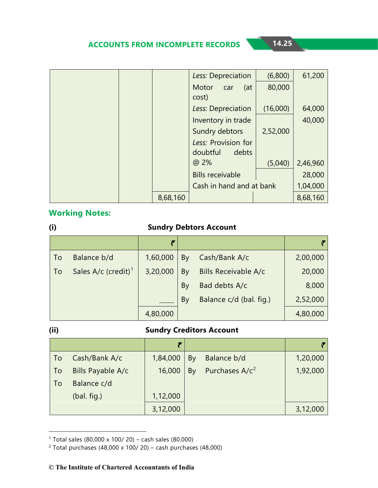|          | Less: Depreciation       | (6,800)  | 61,200   |
|----------|--------------------------|----------|----------|
|          | Motor<br>(at<br>car      | 80,000   |          |
|          | cost)                    |          |          |
|          | Less: Depreciation       | (16,000) | 64,000   |
|          | Inventory in trade       |          | 40,000   |
|          | Sundry debtors           | 2,52,000 |          |
|          | Less: Provision for      |          |          |
|          | doubtful<br>debts        |          |          |
|          | @ 2%                     | (5,040)  | 2,46,960 |
|          | <b>Bills receivable</b>  |          | 28,000   |
|          | Cash in hand and at bank |          | 1,04,000 |
| 8,68,160 |                          |          | 8,68,160 |

#### **Working Notes:**

| (i) | <b>Sundry Debtors Account</b>   |          |    |                         |          |  |
|-----|---------------------------------|----------|----|-------------------------|----------|--|
|     |                                 | ₹        |    |                         |          |  |
| To  | Balance b/d                     | 1,60,000 | By | Cash/Bank A/c           | 2,00,000 |  |
| To  | Sales A/c (credit) <sup>1</sup> | 3,20,000 | By | Bills Receivable A/c    | 20,000   |  |
|     |                                 |          | By | Bad debts A/c           | 8,000    |  |
|     |                                 |          | By | Balance c/d (bal. fig.) | 2,52,000 |  |
|     |                                 | 4,80,000 |    |                         | 4,80,000 |  |

#### **(ii) Sundry Creditors Account**

|    |                   | F        |    |                            |          |
|----|-------------------|----------|----|----------------------------|----------|
| To | Cash/Bank A/c     | 1,84,000 | By | Balance b/d                | 1,20,000 |
| To | Bills Payable A/c | 16,000   | By | Purchases A/c <sup>2</sup> | 1,92,000 |
| To | Balance c/d       |          |    |                            |          |
|    | (bal. fig.)       | 1,12,000 |    |                            |          |
|    |                   | 3,12,000 |    |                            | 3,12,000 |

<span id="page-24-0"></span><sup>1</sup> Total sales (80,000 x 100/ 20) – cash sales (80,000)

<span id="page-24-1"></span><sup>&</sup>lt;sup>2</sup> Total purchases (48,000 x 100/ 20) – cash purchases (48,000)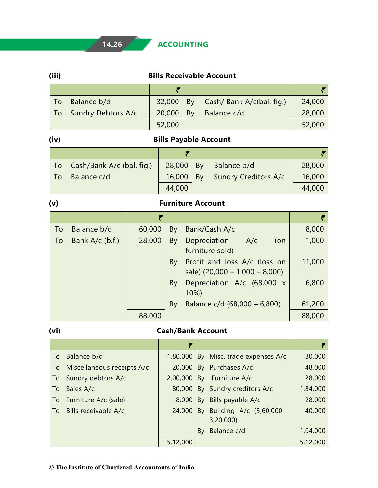# **14.26 ACCOUNTING**

| (iii) | <b>Bills Receivable Account</b> |
|-------|---------------------------------|
|       |                                 |

| To Balance b/d        | $32,000$   By | Cash/ Bank A/c(bal. fig.) | 24,000 |
|-----------------------|---------------|---------------------------|--------|
| To Sundry Debtors A/c | $20,000$   By | Balance c/d               | 28,000 |
|                       | 52,000        |                           | 52,000 |

T

# **(iv) Bills Payable Account**

|     | To Cash/Bank A/c (bal. fig.) |               | $28,000$   By Balance b/d   | 28,000 |
|-----|------------------------------|---------------|-----------------------------|--------|
| To. | Balance c/d                  | $16,000$   By | <b>Sundry Creditors A/c</b> | 16,000 |
|     |                              | 44,000        |                             | 44,000 |

#### **(v) Furniture Account**

|    |                   | F      |    |                                                                  |        |
|----|-------------------|--------|----|------------------------------------------------------------------|--------|
| To | Balance b/d       | 60,000 | By | Bank/Cash A/c                                                    | 8,000  |
| To | Bank $A/c$ (b.f.) | 28,000 | By | Depreciation A/c<br>(on<br>furniture sold)                       | 1,000  |
|    |                   |        | By | Profit and loss A/c (loss on<br>sale) $(20,000 - 1,000 - 8,000)$ | 11,000 |
|    |                   |        | By | Depreciation A/c (68,000 x<br>$10\%)$                            | 6,800  |
|    |                   |        | By | Balance $c/d$ (68,000 – 6,800)                                   | 61,200 |
|    |                   | 88,000 |    |                                                                  | 88,000 |

# **(vi) Cash/Bank Account**

|    | To Balance b/d                |          | 1,80,000 By Misc. trade expenses A/c                               | 80,000   |
|----|-------------------------------|----------|--------------------------------------------------------------------|----------|
|    | To Miscellaneous receipts A/c | 20,000   | By Purchases A/c                                                   | 48,000   |
|    | To Sundry debtors A/c         | 2,00,000 | By Furniture A/c                                                   | 28,000   |
| To | Sales A/c                     | 80,000   | By Sundry creditors A/c                                            | 1,84,000 |
|    | To Furniture A/c (sale)       | 8,000    | By Bills payable A/c                                               | 28,000   |
|    | To Bills receivable A/c       | 24,000   | By Building A/c (3,60,000<br>$\overline{\phantom{m}}$<br>3,20,000) | 40,000   |
|    |                               |          | By Balance c/d                                                     | 1,04,000 |
|    |                               | 5,12,000 |                                                                    | 5,12,000 |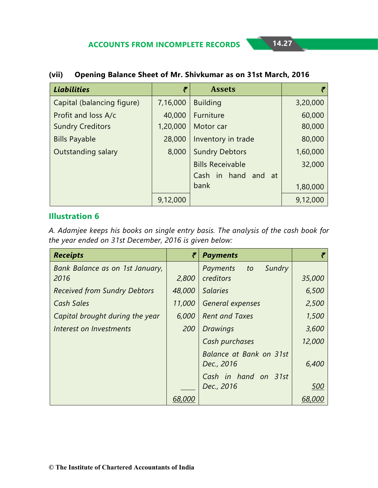| <b>Liabilities</b>         | ₹        | <b>Assets</b>           |          |
|----------------------------|----------|-------------------------|----------|
| Capital (balancing figure) | 7,16,000 | <b>Building</b>         | 3,20,000 |
| Profit and loss A/c        | 40,000   | Furniture               | 60,000   |
| <b>Sundry Creditors</b>    | 1,20,000 | Motor car               | 80,000   |
| <b>Bills Payable</b>       | 28,000   | Inventory in trade      | 80,000   |
| Outstanding salary         | 8,000    | <b>Sundry Debtors</b>   | 1,60,000 |
|                            |          | <b>Bills Receivable</b> | 32,000   |
|                            |          | Cash in hand and<br>-at |          |
|                            |          | bank                    | 1,80,000 |
|                            | 9,12,000 |                         | 9,12,000 |

#### **(vii) Opening Balance Sheet of Mr. Shivkumar as on 31st March, 2016**

#### **Illustration 6**

*A. Adamjee keeps his books on single entry basis. The analysis of the cash book for the year ended on 31st December, 2016 is given below:*

| <b>Receipts</b>                     | ₹      | <b>Payments</b>          |        |
|-------------------------------------|--------|--------------------------|--------|
| Bank Balance as on 1st January,     |        | Sundry<br>Payments<br>to |        |
| 2016                                | 2,800  | creditors                | 35,000 |
| <b>Received from Sundry Debtors</b> | 48,000 | <b>Salaries</b>          | 6,500  |
| Cash Sales                          | 11,000 | General expenses         | 2,500  |
| Capital brought during the year     | 6,000  | <b>Rent and Taxes</b>    | 1,500  |
| Interest on Investments             | 200    | <b>Drawings</b>          | 3,600  |
|                                     |        | Cash purchases           | 12,000 |
|                                     |        | Balance at Bank on 31st  |        |
|                                     |        | Dec., 2016               | 6,400  |
|                                     |        | Cash in hand on 31st     |        |
|                                     |        | Dec., 2016               | 500    |
|                                     | 68.000 |                          |        |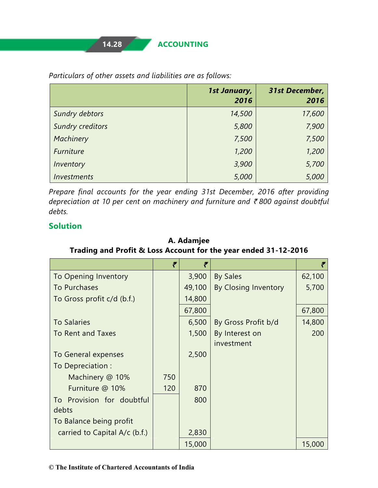|                         | 1st January,<br>2016 | <b>31st December,</b><br>2016 |
|-------------------------|----------------------|-------------------------------|
| Sundry debtors          | 14,500               | 17,600                        |
| <b>Sundry creditors</b> | 5,800                | 7,900                         |
| Machinery               | 7,500                | 7,500                         |
| Furniture               | 1,200                | 1,200                         |
| Inventory               | 3,900                | 5,700                         |
| <b>Investments</b>      | 5,000                | 5,000                         |

*Particulars of other assets and liabilities are as follows:*

*Prepare final accounts for the year ending 31st December, 2016 after providing depreciation at 10 per cent on machinery and furniture and* ` *800 against doubtful debts.*

#### **Solution**

|                               | ₹   | ₹      |                      |        |
|-------------------------------|-----|--------|----------------------|--------|
| To Opening Inventory          |     | 3,900  | <b>By Sales</b>      | 62,100 |
| To Purchases                  |     | 49,100 | By Closing Inventory | 5,700  |
| To Gross profit c/d (b.f.)    |     | 14,800 |                      |        |
|                               |     | 67,800 |                      | 67,800 |
| <b>To Salaries</b>            |     | 6,500  | By Gross Profit b/d  | 14,800 |
| <b>To Rent and Taxes</b>      |     | 1,500  | By Interest on       | 200    |
|                               |     |        | investment           |        |
| To General expenses           |     | 2,500  |                      |        |
| To Depreciation:              |     |        |                      |        |
| Machinery @ 10%               | 750 |        |                      |        |
| Furniture @ 10%               | 120 | 870    |                      |        |
| To Provision for doubtful     |     | 800    |                      |        |
| debts                         |     |        |                      |        |
| To Balance being profit       |     |        |                      |        |
| carried to Capital A/c (b.f.) |     | 2,830  |                      |        |
|                               |     | 15,000 |                      | 15,000 |

**A. Adamjee Trading and Profit & Loss Account for the year ended 31-12-2016**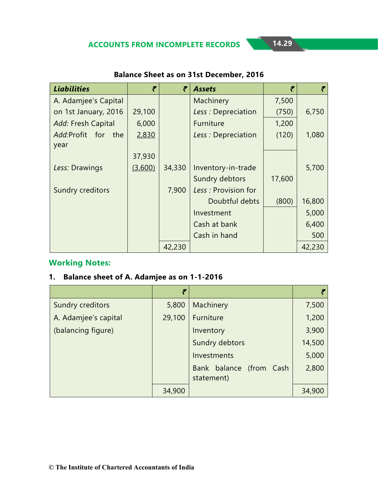| <b>Liabilities</b>   | ₹       | ₹      | <b>Assets</b>       | ₹      |        |
|----------------------|---------|--------|---------------------|--------|--------|
| A. Adamjee's Capital |         |        | Machinery           | 7,500  |        |
| on 1st January, 2016 | 29,100  |        | Less: Depreciation  | (750)  | 6,750  |
| Add: Fresh Capital   | 6,000   |        | <b>Furniture</b>    | 1,200  |        |
| Add:Profit for the   | 2,830   |        | Less: Depreciation  | (120)  | 1,080  |
| year                 |         |        |                     |        |        |
|                      | 37,930  |        |                     |        |        |
| Less: Drawings       | (3,600) | 34,330 | Inventory-in-trade  |        | 5,700  |
|                      |         |        | Sundry debtors      | 17,600 |        |
| Sundry creditors     |         | 7,900  | Less: Provision for |        |        |
|                      |         |        | Doubtful debts      | (800)  | 16,800 |
|                      |         |        | Investment          |        | 5,000  |
|                      |         |        | Cash at bank        |        | 6,400  |
|                      |         |        | Cash in hand        |        | 500    |
|                      |         | 42,230 |                     |        | 42,230 |

#### **Balance Sheet as on 31st December, 2016**

#### **Working Notes:**

#### **1. Balance sheet of A. Adamjee as on 1-1-2016**

|                      | ₹      |                         |        |
|----------------------|--------|-------------------------|--------|
| Sundry creditors     | 5,800  | Machinery               | 7,500  |
| A. Adamjee's capital | 29,100 | Furniture               | 1,200  |
| (balancing figure)   |        | Inventory               | 3,900  |
|                      |        | <b>Sundry debtors</b>   | 14,500 |
|                      |        | Investments             | 5,000  |
|                      |        | Bank balance (from Cash | 2,800  |
|                      |        | statement)              |        |
|                      | 34,900 |                         | 34,900 |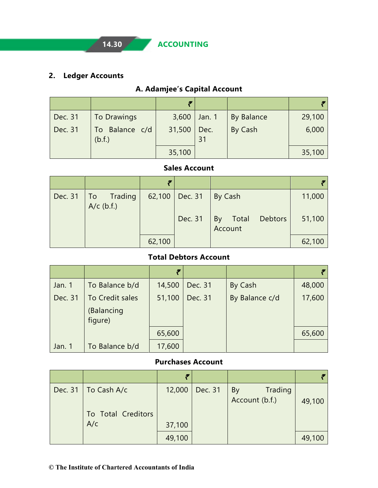### **2. Ledger Accounts**

# **A. Adamjee's Capital Account**

| <b>Dec. 31</b> | <b>To Drawings</b>       | 3,600  | $ $ Jan. 1 | <b>By Balance</b> | 29,100 |
|----------------|--------------------------|--------|------------|-------------------|--------|
| Dec. 31        | To Balance c/d<br>(b.f.) | 31,500 | Dec.<br>31 | By Cash           | 6,000  |
|                |                          | 35,100 |            |                   | 35,100 |

#### **Sales Account**

|                                      | F      |                  |                                   |        |
|--------------------------------------|--------|------------------|-----------------------------------|--------|
| Dec. 31   To Trading<br>$A/c$ (b.f.) |        | 62,100   Dec. 31 | By Cash                           | 11,000 |
|                                      |        | Dec. 31          | Total<br>Debtors<br>By<br>Account | 51,100 |
|                                      | 62,100 |                  |                                   | 62,100 |

#### **Total Debtors Account**

|         |                                          | ₹      |         |                |        |
|---------|------------------------------------------|--------|---------|----------------|--------|
| Jan. 1  | To Balance b/d                           | 14,500 | Dec. 31 | By Cash        | 48,000 |
| Dec. 31 | To Credit sales<br>(Balancing<br>figure) | 51,100 | Dec. 31 | By Balance c/d | 17,600 |
|         |                                          | 65,600 |         |                | 65,600 |
| Jan. 1  | To Balance b/d                           | 17,600 |         |                |        |

#### **Purchases Account**

| Dec. 31   To Cash A/c<br>To Total Creditors<br>A/c | 12,000<br>37,100 | Dec. 31 | Trading<br>By<br>Account (b.f.) | 49,100 |
|----------------------------------------------------|------------------|---------|---------------------------------|--------|
|                                                    | 49,100           |         |                                 | 49,100 |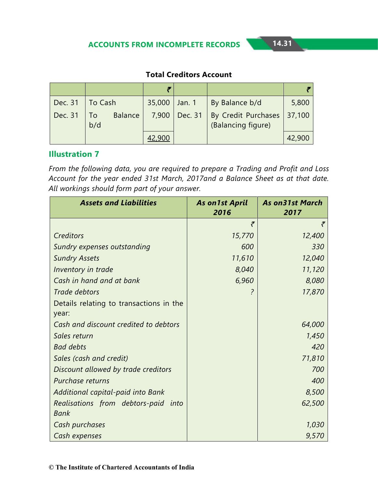#### **Total Creditors Account**

| Dec. 31 | To Cash   |                | 35,000 Jan. 1 |         | By Balance b/d                            | 5,800  |
|---------|-----------|----------------|---------------|---------|-------------------------------------------|--------|
| Dec. 31 | Tо<br>b/d | <b>Balance</b> | 7,900         | Dec. 31 | By Credit Purchases<br>(Balancing figure) | 37,100 |
|         |           |                |               |         |                                           | 42,900 |

#### **Illustration 7**

*From the following data, you are required to prepare a Trading and Profit and Loss Account for the year ended 31st March, 2017and a Balance Sheet as at that date. All workings should form part of your answer.*

| <b>Assets and Liabilities</b>           | <b>As on 1st April</b><br>2016 | <b>As on31st March</b><br>2017 |
|-----------------------------------------|--------------------------------|--------------------------------|
|                                         | ₹                              |                                |
| Creditors                               | 15,770                         | 12,400                         |
| Sundry expenses outstanding             | 600                            | 330                            |
| <b>Sundry Assets</b>                    | 11,610                         | 12,040                         |
| Inventory in trade                      | 8,040                          | 11,120                         |
| Cash in hand and at bank                | 6,960                          | 8,080                          |
| Trade debtors                           | ?                              | 17,870                         |
| Details relating to transactions in the |                                |                                |
| year:                                   |                                |                                |
| Cash and discount credited to debtors   |                                | 64,000                         |
| Sales return                            |                                | 1,450                          |
| <b>Bad debts</b>                        |                                | 420                            |
| Sales (cash and credit)                 |                                | 71,810                         |
| Discount allowed by trade creditors     |                                | 700                            |
| Purchase returns                        |                                | 400                            |
| Additional capital-paid into Bank       |                                | 8,500                          |
| Realisations from debtors-paid<br>into  |                                | 62,500                         |
| Bank                                    |                                |                                |
| Cash purchases                          |                                | 1,030                          |
| Cash expenses                           |                                | 9,570                          |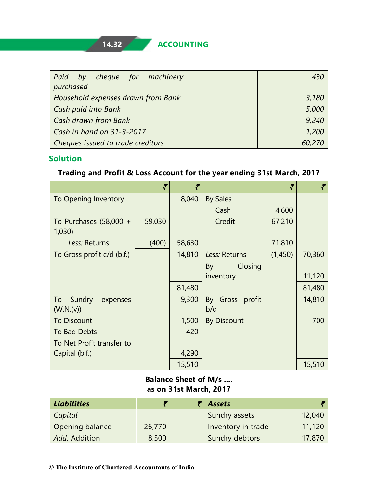| Paid by cheque for machinery       |        |
|------------------------------------|--------|
| purchased                          |        |
| Household expenses drawn from Bank | 3,180  |
| Cash paid into Bank                | 5,000  |
| <b>Cash drawn from Bank</b>        | 9,240  |
| $\sqrt{$ Cash in hand on 31-3-2017 | 1,200  |
| Cheques issued to trade creditors  | 60,270 |

# **Solution**

#### **Trading and Profit & Loss Account for the year ending 31st March, 2017**

|                                   | ₹      | ₹      |                    | ₹       | ₹      |
|-----------------------------------|--------|--------|--------------------|---------|--------|
| To Opening Inventory              |        | 8,040  | <b>By Sales</b>    |         |        |
|                                   |        |        | Cash               | 4,600   |        |
| To Purchases $(58,000 +$<br>1,030 | 59,030 |        | Credit             | 67,210  |        |
| Less: Returns                     | (400)  | 58,630 |                    | 71,810  |        |
| To Gross profit c/d (b.f.)        |        | 14,810 | Less: Returns      | (1,450) | 70,360 |
|                                   |        |        | Closing<br>By      |         |        |
|                                   |        |        | inventory          |         | 11,120 |
|                                   |        | 81,480 |                    |         | 81,480 |
| To Sundry<br>expenses             |        | 9,300  | By Gross profit    |         | 14,810 |
| (W.N.(v))                         |        |        | b/d                |         |        |
| <b>To Discount</b>                |        | 1,500  | <b>By Discount</b> |         | 700    |
| To Bad Debts                      |        | 420    |                    |         |        |
| To Net Profit transfer to         |        |        |                    |         |        |
| Capital (b.f.)                    |        | 4,290  |                    |         |        |
|                                   |        | 15,510 |                    |         | 15,510 |

#### **Balance Sheet of M/s .... as on 31st March, 2017**

| <b>Liabilities</b> |        | <b>Assets</b>      |        |
|--------------------|--------|--------------------|--------|
| Capital            |        | Sundry assets      | 12,040 |
| Opening balance    | 26,770 | Inventory in trade | 11,120 |
| Add: Addition      | 8,500  | Sundry debtors     | 17,870 |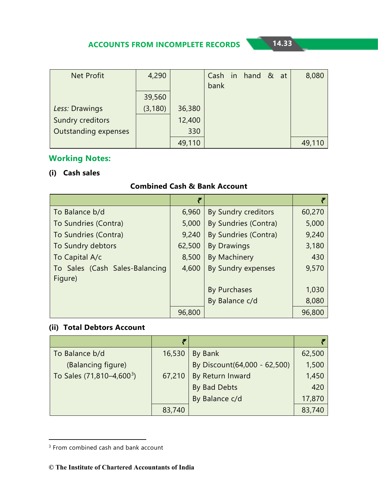| <b>Net Profit</b>           | 4,290    |        |      | Cash in hand & at |  | 8,080  |
|-----------------------------|----------|--------|------|-------------------|--|--------|
|                             |          |        | bank |                   |  |        |
|                             | 39,560   |        |      |                   |  |        |
| Less: Drawings              | (3, 180) | 36,380 |      |                   |  |        |
| Sundry creditors            |          | 12,400 |      |                   |  |        |
| <b>Outstanding expenses</b> |          | 330    |      |                   |  |        |
|                             |          | 49,110 |      |                   |  | 49,110 |

# **Working Notes:**

#### **(i) Cash sales**

#### **Combined Cash & Bank Account**

|                                | ₹      |                      |        |
|--------------------------------|--------|----------------------|--------|
| To Balance b/d                 | 6,960  | By Sundry creditors  | 60,270 |
| To Sundries (Contra)           | 5,000  | By Sundries (Contra) | 5,000  |
| To Sundries (Contra)           | 9,240  | By Sundries (Contra) | 9,240  |
| To Sundry debtors              | 62,500 | <b>By Drawings</b>   | 3,180  |
| To Capital A/c                 | 8,500  | <b>By Machinery</b>  | 430    |
| To Sales (Cash Sales-Balancing | 4,600  | By Sundry expenses   | 9,570  |
| Figure)                        |        |                      |        |
|                                |        | <b>By Purchases</b>  | 1,030  |
|                                |        | By Balance c/d       | 8,080  |
|                                | 96,800 |                      | 96,800 |

#### **(ii) Total Debtors Account**

| To Balance b/d                        | 16,530 | By Bank                       | 62,500 |
|---------------------------------------|--------|-------------------------------|--------|
| (Balancing figure)                    |        | By Discount (64,000 - 62,500) | 1,500  |
| To Sales (71,810-4,600 <sup>3</sup> ) | 67,210 | By Return Inward              | 1,450  |
|                                       |        | By Bad Debts                  | 420    |
|                                       |        | By Balance c/d                | 17,870 |
|                                       | 83,740 |                               | 83,740 |

-

<span id="page-32-0"></span><sup>&</sup>lt;sup>3</sup> From combined cash and bank account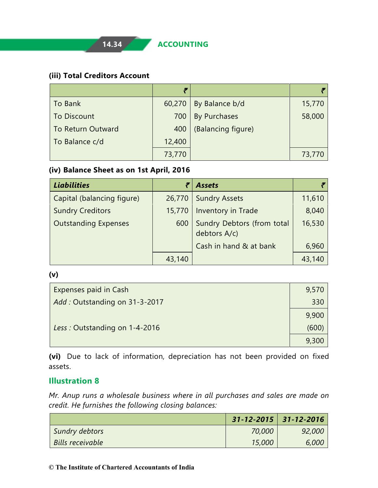#### **(iii) Total Creditors Account**

|                          | F      |                     |        |
|--------------------------|--------|---------------------|--------|
| To Bank                  | 60,270 | By Balance b/d      | 15,770 |
| <b>To Discount</b>       | 700    | <b>By Purchases</b> | 58,000 |
| <b>To Return Outward</b> | 400    | (Balancing figure)  |        |
| To Balance c/d           | 12,400 |                     |        |
|                          | 73,770 |                     | 73,770 |

#### **(iv) Balance Sheet as on 1st April, 2016**

| <b>Liabilities</b>          |        | <b>Assets</b>                              |        |
|-----------------------------|--------|--------------------------------------------|--------|
| Capital (balancing figure)  | 26,770 | <b>Sundry Assets</b>                       | 11,610 |
| <b>Sundry Creditors</b>     | 15,770 | Inventory in Trade                         | 8,040  |
| <b>Outstanding Expenses</b> | 600    | Sundry Debtors (from total<br>debtors A/c) | 16,530 |
|                             |        | Cash in hand & at bank                     | 6,960  |
|                             | 43,140 |                                            | 43,140 |

**(v)**

| <b>Expenses paid in Cash</b>  | 9,570 |
|-------------------------------|-------|
| Add: Outstanding on 31-3-2017 | 330   |
|                               | 9,900 |
| Less: Outstanding on 1-4-2016 | (600) |
|                               | 9,300 |

**(vi)** Due to lack of information, depreciation has not been provided on fixed assets.

# **Illustration 8**

*Mr. Anup runs a wholesale business where in all purchases and sales are made on credit. He furnishes the following closing balances:*

|                  | $31 - 12 - 2015$ 31-12-2016 |        |
|------------------|-----------------------------|--------|
| Sundry debtors   | 70,000                      | 92,000 |
| Bills receivable | 15,000                      | 6,000  |

#### **© The Institute of Chartered Accountants of India**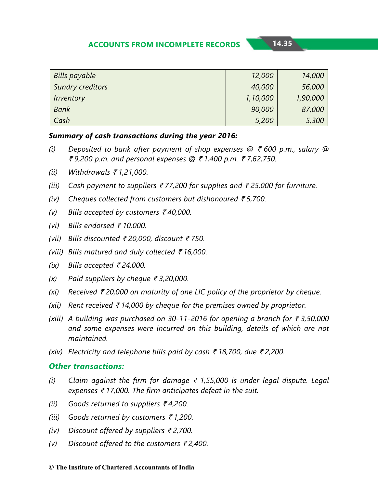| <b>Bills payable</b>    | 12,000   | 14,000   |
|-------------------------|----------|----------|
| <b>Sundry creditors</b> | 40,000   | 56,000   |
| Inventory               | 1,10,000 | 1,90,000 |
| <b>Bank</b>             | 90,000   | 87,000   |
| Cash                    | 5,200    | 5,300    |

#### *Summary of cash transactions during the year 2016:*

- *(i)* Deposited to bank after payment of shop expenses  $\mathcal{Q} \in \{600 \text{ p.m.}, \text{ salary } \mathcal{Q}$ ` *9,200 p.m. and personal expenses @* ` *1,400 p.m.* ` *7,62,750.*
- *(ii) Withdrawals* ` *1,21,000.*
- *(iii) Cash payment to suppliers* ` *77,200 for supplies and* ` *25,000 for furniture.*
- *(iv) Cheques collected from customers but dishonoured* ` *5,700.*
- *(v)* Bills accepted by customers ₹40,000.
- *(vi) Bills endorsed* ` *10,000.*
- *(vii)* Bills discounted ₹ 20,000, discount ₹ 750.
- *(viii) Bills matured and duly collected* ` *16,000.*
- *(ix)* Bills accepted ₹24,000.
- $(x)$  Paid suppliers by cheque  $\bar{\tau}$  3,20,000.
- *(xi) Received* ` *20,000 on maturity of one LIC policy of the proprietor by cheque.*
- *(xii)* Rent received  $\bar{\epsilon}$  14,000 by cheque for the premises owned by proprietor.
- *(xiii)* A building was purchased on 30-11-2016 for opening a branch for  $\bar{\tau}$ 3,50,000 *and some expenses were incurred on this building, details of which are not maintained.*
- *(xiv)* Electricity and telephone bills paid by cash ₹ 18,700, due ₹ 2,200.

#### *Other transactions:*

- *(i)* Claim against the firm for damage  $\bar{\epsilon}$  1,55,000 is under legal dispute. Legal *expenses ₹17,000. The firm anticipates defeat in the suit.*
- *(ii)* Goods returned to suppliers ₹4,200.
- *(iii) Goods returned by customers* ` *1,200.*
- *(iv)* Discount offered by suppliers ₹2,700.
- *(v)* Discount offered to the customers ₹2,400.

#### **© The Institute of Chartered Accountants of India**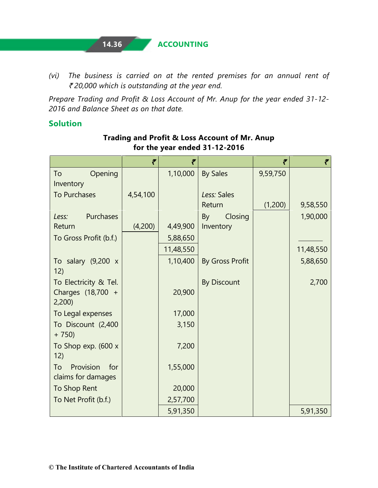# **14.36 ACCOUNTING**

*(vi) The business is carried on at the rented premises for an annual rent of*  ` *20,000 which is outstanding at the year end.* 

*Prepare Trading and Profit & Loss Account of Mr. Anup for the year ended 31-12- 2016 and Balance Sheet as on that date.*

#### **Solution**

|                                              | ₹        | ₹         |                    | ₹        | ₹         |
|----------------------------------------------|----------|-----------|--------------------|----------|-----------|
| Opening<br>To<br>Inventory                   |          | 1,10,000  | <b>By Sales</b>    | 9,59,750 |           |
| To Purchases                                 | 4,54,100 |           | Less: Sales        |          |           |
|                                              |          |           | Return             | (1,200)  | 9,58,550  |
| Purchases<br>Less:                           |          |           | Closing<br>By      |          | 1,90,000  |
| Return                                       | (4,200)  | 4,49,900  | Inventory          |          |           |
| To Gross Profit (b.f.)                       |          | 5,88,650  |                    |          |           |
|                                              |          | 11,48,550 |                    |          | 11,48,550 |
| To salary $(9,200 x$<br>12)                  |          | 1,10,400  | By Gross Profit    |          | 5,88,650  |
| To Electricity & Tel.                        |          |           | <b>By Discount</b> |          | 2,700     |
| Charges (18,700 +<br>2,200                   |          | 20,900    |                    |          |           |
| To Legal expenses                            |          | 17,000    |                    |          |           |
| To Discount (2,400<br>$+ 750$                |          | 3,150     |                    |          |           |
| To Shop exp. (600 x<br>12)                   |          | 7,200     |                    |          |           |
| Provision<br>for<br>To<br>claims for damages |          | 1,55,000  |                    |          |           |
| To Shop Rent                                 |          | 20,000    |                    |          |           |
| To Net Profit (b.f.)                         |          | 2,57,700  |                    |          |           |
|                                              |          | 5,91,350  |                    |          | 5,91,350  |

#### **Trading and Profit & Loss Account of Mr. Anup for the year ended 31-12-2016**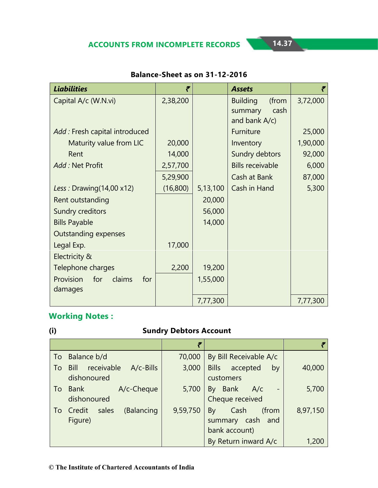| <b>Liabilities</b>                | ₹        |          | <b>Assets</b>            | ₹        |
|-----------------------------------|----------|----------|--------------------------|----------|
| Capital A/c (W.N.vi)              | 2,38,200 |          | <b>Building</b><br>(from | 3,72,000 |
|                                   |          |          | cash<br>summary          |          |
|                                   |          |          | and bank A/c)            |          |
| Add: Fresh capital introduced     |          |          | Furniture                | 25,000   |
| Maturity value from LIC           | 20,000   |          | Inventory                | 1,90,000 |
| Rent                              | 14,000   |          | Sundry debtors           | 92,000   |
| Add: Net Profit                   | 2,57,700 |          | <b>Bills receivable</b>  | 6,000    |
|                                   | 5,29,900 |          | Cash at Bank             | 87,000   |
| Less: Drawing $(14,00 \times 12)$ | (16,800) | 5,13,100 | Cash in Hand             | 5,300    |
| Rent outstanding                  |          | 20,000   |                          |          |
| Sundry creditors                  |          | 56,000   |                          |          |
| <b>Bills Payable</b>              |          | 14,000   |                          |          |
| Outstanding expenses              |          |          |                          |          |
| Legal Exp.                        | 17,000   |          |                          |          |
| Electricity &                     |          |          |                          |          |
| Telephone charges                 | 2,200    | 19,200   |                          |          |
| Provision<br>for<br>claims<br>for |          | 1,55,000 |                          |          |
| damages                           |          |          |                          |          |
|                                   |          | 7,77,300 |                          | 7,77,300 |

#### **Balance-Sheet as on 31-12-2016**

# **Working Notes :**

# **(i) Sundry Debtors Account**

|    |                                                   | ₹        |                                                          |          |
|----|---------------------------------------------------|----------|----------------------------------------------------------|----------|
| To | Balance b/d                                       | 70,000   | By Bill Receivable A/c                                   |          |
| To | receivable<br>Bill<br>$A/c$ -Bills<br>dishonoured | 3,000    | Bills accepted<br>by<br>customers                        | 40,000   |
| To | A/c-Cheque<br>Bank<br>dishonoured                 | 5,700    | By Bank<br>A/c<br>Cheque received                        | 5,700    |
| To | sales<br>(Balancing<br>Credit<br>Figure)          | 9,59,750 | Cash<br>(from<br>By<br>summary cash and<br>bank account) | 8,97,150 |
|    |                                                   |          | By Return inward A/c                                     | 1,200    |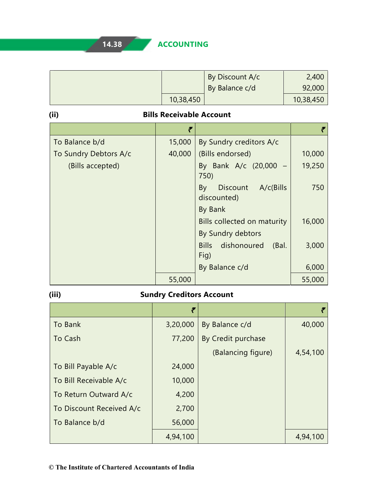|                       |                                 | By Discount A/c                              | 2,400     |  |  |
|-----------------------|---------------------------------|----------------------------------------------|-----------|--|--|
|                       |                                 | By Balance c/d                               | 92,000    |  |  |
|                       | 10,38,450                       |                                              | 10,38,450 |  |  |
| (ii)                  | <b>Bills Receivable Account</b> |                                              |           |  |  |
|                       | ₹                               |                                              | ₹         |  |  |
| To Balance b/d        | 15,000                          | By Sundry creditors A/c                      |           |  |  |
| To Sundry Debtors A/c | 40,000                          | (Bills endorsed)                             | 10,000    |  |  |
| (Bills accepted)      |                                 | By Bank A/c (20,000<br>750)                  | 19,250    |  |  |
|                       |                                 | A/c(Bills)<br>Discount<br>By<br>discounted)  | 750       |  |  |
|                       |                                 | By Bank                                      |           |  |  |
|                       |                                 | Bills collected on maturity                  | 16,000    |  |  |
|                       |                                 | By Sundry debtors                            |           |  |  |
|                       |                                 | <b>Bills</b><br>dishonoured<br>(Bal.<br>Fig) | 3,000     |  |  |
|                       |                                 | By Balance c/d                               | 6,000     |  |  |
|                       | 55,000                          |                                              | 55,000    |  |  |

# **(iii) Sundry Creditors Account**

|                          | ₹        |                    |          |
|--------------------------|----------|--------------------|----------|
| To Bank                  | 3,20,000 | By Balance c/d     | 40,000   |
| To Cash                  | 77,200   | By Credit purchase |          |
|                          |          | (Balancing figure) | 4,54,100 |
| To Bill Payable A/c      | 24,000   |                    |          |
| To Bill Receivable A/c   | 10,000   |                    |          |
| To Return Outward A/c    | 4,200    |                    |          |
| To Discount Received A/c | 2,700    |                    |          |
| To Balance b/d           | 56,000   |                    |          |
|                          | 4,94,100 |                    | 4,94,100 |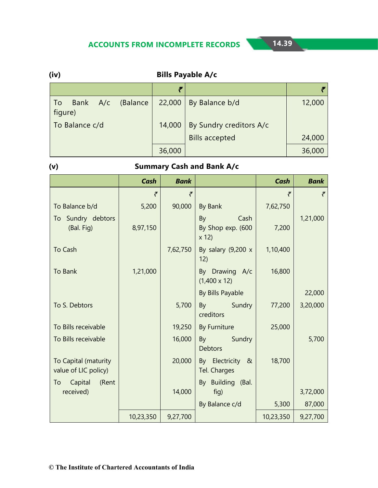| (iv) | <b>Bills Payable A/c</b> |     |          |        |                         |        |
|------|--------------------------|-----|----------|--------|-------------------------|--------|
|      |                          |     |          | F      |                         |        |
| To   | <b>Bank</b><br>figure)   | A/c | (Balance | 22,000 | By Balance b/d          | 12,000 |
|      | To Balance c/d           |     |          | 14,000 | By Sundry creditors A/c |        |
|      |                          |     |          |        | <b>Bills accepted</b>   | 24,000 |
|      |                          |     |          | 36,000 |                         | 36,000 |

# **(v) Summary Cash and Bank A/c**

|                                              | <b>Cash</b> | <b>Bank</b> |                                         | <b>Cash</b> | <b>Bank</b> |
|----------------------------------------------|-------------|-------------|-----------------------------------------|-------------|-------------|
|                                              | ₹           | ₹           |                                         | ₹           | ₹           |
| To Balance b/d                               | 5,200       | 90,000      | By Bank                                 | 7,62,750    |             |
| To Sundry debtors<br>(Bal. Fig)              | 8,97,150    |             | By<br>Cash<br>By Shop exp. (600<br>x 12 | 7,200       | 1,21,000    |
| To Cash                                      |             | 7,62,750    | By salary $(9,200 \times$<br>12)        | 1,10,400    |             |
| To Bank                                      | 1,21,000    |             | By Drawing A/c<br>$(1,400 \times 12)$   | 16,800      |             |
|                                              |             |             | By Bills Payable                        |             | 22,000      |
| To S. Debtors                                |             | 5,700       | By Sundry<br>creditors                  | 77,200      | 3,20,000    |
| To Bills receivable                          |             | 19,250      | By Furniture                            | 25,000      |             |
| To Bills receivable                          |             | 16,000      | By Sundry<br><b>Debtors</b>             |             | 5,700       |
| To Capital (maturity<br>value of LIC policy) |             | 20,000      | By Electricity &<br>Tel. Charges        | 18,700      |             |
| To<br>Capital<br>(Rent<br>received)          |             | 14,000      | By Building (Bal.<br>fig)               |             | 3,72,000    |
|                                              |             |             | By Balance c/d                          | 5,300       | 87,000      |
|                                              | 10,23,350   | 9,27,700    |                                         | 10,23,350   | 9,27,700    |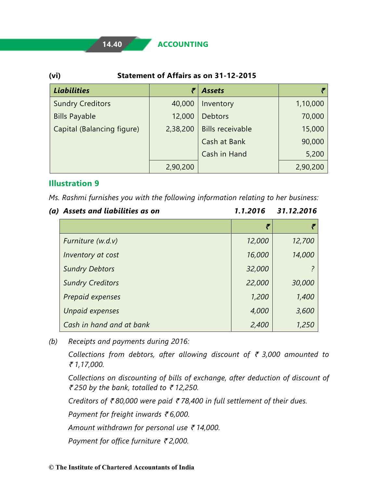#### **14.40 ACCOUNTING**

#### **(vi) Statement of Affairs as on 31-12-2015**

| <b>Liabilities</b>         | ₹        | <b>Assets</b>           |          |
|----------------------------|----------|-------------------------|----------|
| <b>Sundry Creditors</b>    | 40,000   | Inventory               | 1,10,000 |
| <b>Bills Payable</b>       | 12,000   | <b>Debtors</b>          | 70,000   |
| Capital (Balancing figure) | 2,38,200 | <b>Bills receivable</b> | 15,000   |
|                            |          | Cash at Bank            | 90,000   |
|                            |          | Cash in Hand            | 5,200    |
|                            | 2,90,200 |                         | 2,90,200 |

#### **Illustration 9**

*Ms. Rashmi furnishes you with the following information relating to her business:*

| (a) Assets and liabilities as on | 1.1.2016 | 31.12.2016 |
|----------------------------------|----------|------------|
|                                  | ₹        |            |
| Furniture (w.d.v)                | 12,000   | 12,700     |
| Inventory at cost                | 16,000   | 14,000     |
| <b>Sundry Debtors</b>            | 32,000   |            |
| <b>Sundry Creditors</b>          | 22,000   | 30,000     |
| Prepaid expenses                 | 1,200    | 1,400      |
| <b>Unpaid expenses</b>           | 4,000    | 3,600      |
| Cash in hand and at bank         | 2,400    | 1,250      |

*(b) Receipts and payments during 2016:*

*Collections from debtors, after allowing discount of* ` *3,000 amounted to*  ` *1,17,000.*

*Collections on discounting of bills of exchange, after deduction of discount of*  ` *250 by the bank, totalled to* ` *12,250.*

*Creditors of* ` *80,000 were paid* ` *78,400 in full settlement of their dues.*

*Payment for freight inwards ₹6,000.* 

*Amount withdrawn for personal use* ` *14,000.*

*Payment for office furniture ₹2,000.*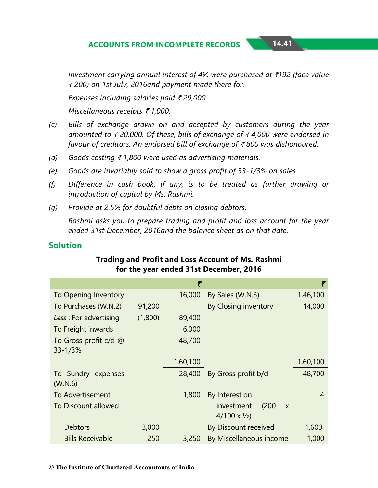*Investment carrying annual interest of 4% were purchased at* `*192 (face value* ` *200) on 1st July, 2016and payment made there for.*

*Expenses including salaries paid ₹29,000.* 

*Miscellaneous receipts ₹ 1,000.* 

- *(c) Bills of exchange drawn on and accepted by customers during the year amounted to ₹20,000. Of these, bills of exchange of ₹4,000 were endorsed in favour of creditors. An endorsed bill of exchange of ₹800 was dishonoured.*
- *(d) Goods costing* ` *1,800 were used as advertising materials.*
- *(e) Goods are invariably sold to show a gross profit of 33-1/3% on sales.*
- *(f) Difference in cash book, if any, is to be treated as further drawing or introduction of capital by Ms. Rashmi.*
- *(g) Provide at 2.5% for doubtful debts on closing debtors.*

*Rashmi asks you to prepare trading and profit and loss account for the year ended 31st December, 2016and the balance sheet as on that date.*

#### **Solution**

|                         |         | ₹        |                                     |          |
|-------------------------|---------|----------|-------------------------------------|----------|
| To Opening Inventory    |         | 16,000   | By Sales (W.N.3)                    | 1,46,100 |
| To Purchases (W.N.2)    | 91,200  |          | By Closing inventory                | 14,000   |
| Less: For advertising   | (1,800) | 89,400   |                                     |          |
| To Freight inwards      |         | 6,000    |                                     |          |
| To Gross profit c/d @   |         | 48,700   |                                     |          |
| $33 - 1/3%$             |         |          |                                     |          |
|                         |         | 1,60,100 |                                     | 1,60,100 |
| To Sundry expenses      |         | 28,400   | By Gross profit b/d                 | 48,700   |
| (W.N.6)                 |         |          |                                     |          |
| <b>To Advertisement</b> |         | 1,800    | By Interest on                      | 4        |
| To Discount allowed     |         |          | (200)<br>investment<br>$\mathsf{x}$ |          |
|                         |         |          | $4/100 \times \frac{1}{2}$          |          |
| <b>Debtors</b>          | 3,000   |          | By Discount received                | 1,600    |
| <b>Bills Receivable</b> | 250     | 3,250    | By Miscellaneous income             | 1,000    |

#### **Trading and Profit and Loss Account of Ms. Rashmi for the year ended 31st December, 2016**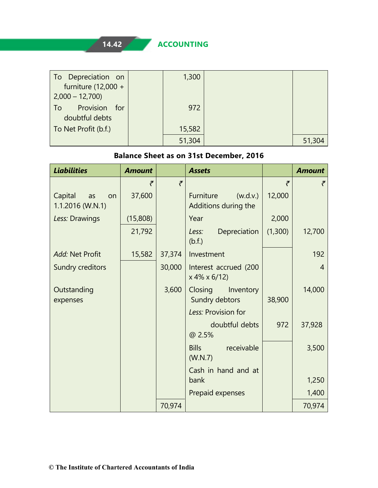**14.42 ACCOUNTING**

| To Depreciation on                 | 1,300  |        |
|------------------------------------|--------|--------|
| furniture $(12,000 +$              |        |        |
| $2,000 - 12,700$                   |        |        |
| Provision<br>for<br>$\overline{1}$ | 972    |        |
| doubtful debts                     |        |        |
| To Net Profit (b.f.)               | 15,582 |        |
|                                    | 51,304 | 51,304 |

#### **Balance Sheet as on 31st December, 2016**

| <b>Liabilities</b>                             | <b>Amount</b> |        | <b>Assets</b>                                 |         | <b>Amount</b> |
|------------------------------------------------|---------------|--------|-----------------------------------------------|---------|---------------|
|                                                | ₹             | ₹      |                                               | ₹       | ₹             |
| Capital<br>as<br><b>on</b><br>1.1.2016 (W.N.1) | 37,600        |        | Furniture<br>(w.d.v.)<br>Additions during the | 12,000  |               |
| Less: Drawings                                 | (15,808)      |        | Year                                          | 2,000   |               |
|                                                | 21,792        |        | Depreciation<br>Less:<br>(b.f.)               | (1,300) | 12,700        |
| Add: Net Profit                                | 15,582        | 37,374 | Investment                                    |         | 192           |
| Sundry creditors                               |               | 30,000 | Interest accrued (200<br>$x 4\% x 6/12$       |         | 4             |
| Outstanding<br>expenses                        |               | 3,600  | Closing<br>Inventory<br>Sundry debtors        | 38,900  | 14,000        |
|                                                |               |        | Less: Provision for                           |         |               |
|                                                |               |        | doubtful debts<br>@ 2.5%                      | 972     | 37,928        |
|                                                |               |        | <b>Bills</b><br>receivable<br>(W.N.7)         |         | 3,500         |
|                                                |               |        | Cash in hand and at<br>bank                   |         | 1,250         |
|                                                |               |        | Prepaid expenses                              |         | 1,400         |
|                                                |               | 70,974 |                                               |         | 70,974        |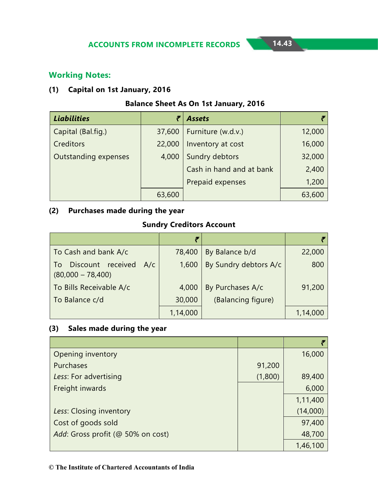#### **Working Notes:**

#### **(1) Capital on 1st January, 2016**

#### **Balance Sheet As On 1st January, 2016**

| <b>Liabilities</b>          | ₹      | <b>Assets</b>            |        |
|-----------------------------|--------|--------------------------|--------|
| Capital (Bal.fig.)          | 37,600 | Furniture (w.d.v.)       | 12,000 |
| Creditors                   | 22,000 | Inventory at cost        | 16,000 |
| <b>Outstanding expenses</b> | 4,000  | Sundry debtors           | 32,000 |
|                             |        | Cash in hand and at bank | 2,400  |
|                             |        | Prepaid expenses         | 1,200  |
|                             | 63,600 |                          | 63,600 |

#### **(2) Purchases made during the year**

# **Sundry Creditors Account**

| To Cash and bank A/c                               | 78,400   | By Balance b/d        | 22,000   |
|----------------------------------------------------|----------|-----------------------|----------|
| Discount received A/c<br>To<br>$(80,000 - 78,400)$ | 1,600    | By Sundry debtors A/c | 800      |
| To Bills Receivable A/c                            | 4,000    | By Purchases A/c      | 91,200   |
| To Balance c/d                                     | 30,000   | (Balancing figure)    |          |
|                                                    | 1,14,000 |                       | 1,14,000 |

#### **(3) Sales made during the year**

| Opening inventory                 |         | 16,000   |
|-----------------------------------|---------|----------|
| Purchases                         | 91,200  |          |
| Less: For advertising             | (1,800) | 89,400   |
| Freight inwards                   |         | 6,000    |
|                                   |         | 1,11,400 |
| Less: Closing inventory           |         | (14,000) |
| Cost of goods sold                |         | 97,400   |
| Add: Gross profit (@ 50% on cost) |         | 48,700   |
|                                   |         | 1,46,100 |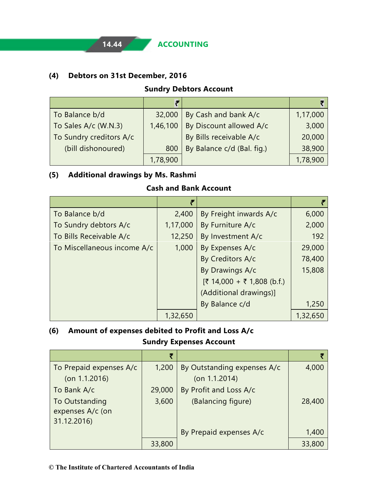**14.44 ACCOUNTING**

#### **(4) Debtors on 31st December, 2016**

#### **Sundry Debtors Account**

|                         | F        |                            |          |
|-------------------------|----------|----------------------------|----------|
| To Balance b/d          | 32,000   | By Cash and bank A/c       | 1,17,000 |
| To Sales A/c (W.N.3)    | 1,46,100 | By Discount allowed A/c    | 3,000    |
| To Sundry creditors A/c |          | By Bills receivable A/c    | 20,000   |
| (bill dishonoured)      | 800      | By Balance c/d (Bal. fig.) | 38,900   |
|                         | 1,78,900 |                            | 1,78,900 |

#### **(5) Additional drawings by Ms. Rashmi**

#### **Cash and Bank Account**

|                             | F        |                            |          |
|-----------------------------|----------|----------------------------|----------|
| To Balance b/d              | 2,400    | By Freight inwards A/c     | 6,000    |
| To Sundry debtors A/c       | 1,17,000 | By Furniture A/c           | 2,000    |
| To Bills Receivable A/c     | 12,250   | By Investment A/c          | 192      |
| To Miscellaneous income A/c | 1,000    | By Expenses A/c            | 29,000   |
|                             |          | By Creditors A/c           | 78,400   |
|                             |          | By Drawings A/c            | 15,808   |
|                             |          | [₹ 14,000 + ₹ 1,808 (b.f.) |          |
|                             |          | (Additional drawings)]     |          |
|                             |          | By Balance c/d             | 1,250    |
|                             | 1,32,650 |                            | 1,32,650 |

# **(6) Amount of expenses debited to Profit and Loss A/c**

#### **Sundry Expenses Account**

|                         | ₹      |                             |        |
|-------------------------|--------|-----------------------------|--------|
| To Prepaid expenses A/c | 1,200  | By Outstanding expenses A/c | 4,000  |
| $($ on 1.1.2016 $)$     |        | $($ on 1.1.2014 $)$         |        |
| To Bank A/c             | 29,000 | By Profit and Loss A/c      |        |
| To Outstanding          | 3,600  | (Balancing figure)          | 28,400 |
| expenses A/c (on        |        |                             |        |
| 31.12.2016)             |        |                             |        |
|                         |        | By Prepaid expenses A/c     | 1,400  |
|                         | 33,800 |                             | 33,800 |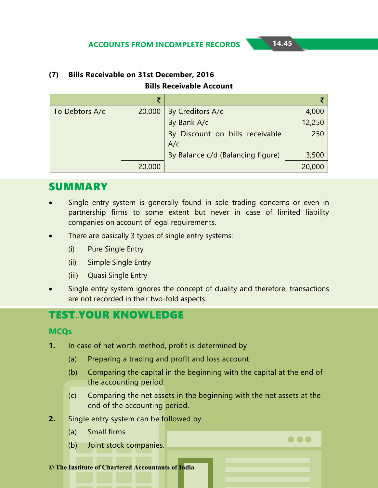$\bullet\bullet\bullet$ 

| To Debtors A/c | 20,000 | By Creditors A/c                       | 4,000  |
|----------------|--------|----------------------------------------|--------|
|                |        | By Bank A/c                            | 12,250 |
|                |        | By Discount on bills receivable<br>A/c | 250    |
|                |        | By Balance c/d (Balancing figure)      | 3,500  |
|                | 20,000 |                                        | 20,000 |

#### **(7) Bills Receivable on 31st December, 2016 Bills Receivable Account**

# SUMMARY

- Single entry system is generally found in sole trading concerns or even in partnership firms to some extent but never in case of limited liability companies on account of legal requirements.
- There are basically 3 types of single entry systems:
	- (i) Pure Single Entry
	- (ii) Simple Single Entry
	- (iii) Quasi Single Entry
- Single entry system ignores the concept of duality and therefore, transactions are not recorded in their two-fold aspects.

# **TEST..YOUR KNOWLEDGE**

#### **MCQs**

- **1.** In case of net worth method, profit is determined by
	- (a) Preparing a trading and profit and loss account.
	- (b) Comparing the capital in the beginning with the capital at the end of the accounting period.
	- (c) Comparing the net assets in the beginning with the net assets at the end of the accounting period.
- **2.** Single entry system can be followed by
	- (a) Small firms.
	- (b) Joint stock companies.

**© The Institute of Chartered Accountants of India**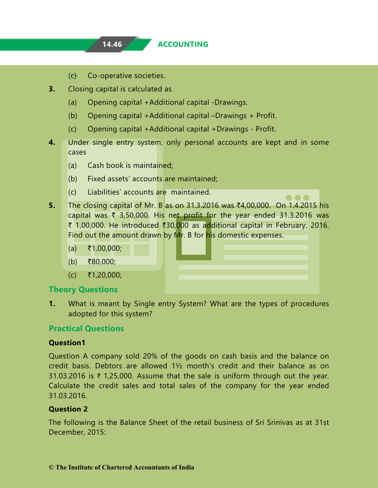- (c) Co-operative societies.
- **3.** Closing capital is calculated as
	- (a) Opening capital +Additional capital -Drawings.
	- (b) Opening capital +Additional capital –Drawings + Profit.
	- (c) Opening capital +Additional capital +Drawings Profit.
- **4.** Under single entry system, only personal accounts are kept and in some cases
	- (a) Cash book is maintained;
	- (b) Fixed assets' accounts are maintained;
	- (c) Liabilities' accounts are maintained.
- **5.** The closing capital of Mr. B as on 31.3.2016 was  $\bar{x}4,00,000$ . On 1.4.2015 his capital was  $\bar{\tau}$  3,50,000. His net profit for the year ended 31.3.2016 was ₹ 1,00,000. He introduced ₹30,000 as additional capital in February, 2016. Find out the amount drawn by Mr. B for his domestic expenses.
	- $(a)$  ₹1,00,000;
	- (b) ₹80,000;
	- $(c)$   $\bar{z}$ 1,20,000;

#### **Theory Questions**

**1.** What is meant by Single entry System? What are the types of procedures adopted for this system?

#### **Practical Questions**

#### **Question1**

Question A company sold 20% of the goods on cash basis and the balance on credit basis. Debtors are allowed 1½ month's credit and their balance as on 31.03.2016 is  $\bar{\tau}$  1,25,000. Assume that the sale is uniform through out the year. Calculate the credit sales and total sales of the company for the year ended 31.03.2016.

#### **Question 2**

The following is the Balance Sheet of the retail business of Sri Srinivas as at 31st December, 2015: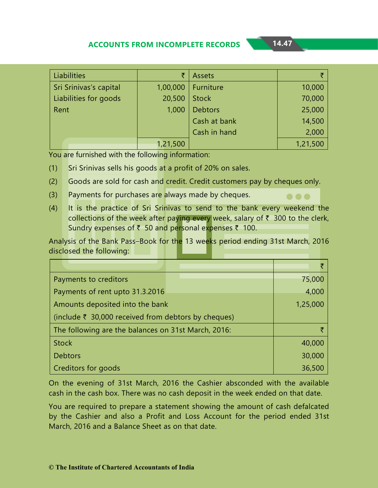$\bullet\bullet\bullet$ 

| Liabilities            | ₹        | <b>Assets</b>  |          |
|------------------------|----------|----------------|----------|
| Sri Srinivas's capital | 1,00,000 | Furniture      | 10,000   |
| Liabilities for goods  | 20,500   | <b>Stock</b>   | 70,000   |
| Rent                   | 1,000    | <b>Debtors</b> | 25,000   |
|                        |          | Cash at bank   | 14,500   |
|                        |          | Cash in hand   | 2,000    |
|                        | 1,21,500 |                | 1,21,500 |

You are furnished with the following information:

- (1) Sri Srinivas sells his goods at a profit of 20% on sales.
- (2) Goods are sold for cash and credit. Credit customers pay by cheques only.
- (3) Payments for purchases are always made by cheques.
- (4) It is the practice of Sri Srinivas to send to the bank every weekend the collections of the week after paying every week, salary of  $\bar{\tau}$  300 to the clerk, Sundry expenses of ₹ 50 and personal expenses ₹ 100.

Analysis of the Bank Pass–Book for the 13 weeks period ending 31st March, 2016 disclosed the following:

| Payments to creditors                               | 75,000   |
|-----------------------------------------------------|----------|
| Payments of rent upto 31.3.2016                     | 4,000    |
| Amounts deposited into the bank                     | 1,25,000 |
| (include ₹ 30,000 received from debtors by cheques) |          |
| The following are the balances on 31st March, 2016: |          |
| <b>Stock</b>                                        | 40,000   |
| <b>Debtors</b>                                      | 30,000   |
| Creditors for goods                                 | 36,500   |

On the evening of 31st March, 2016 the Cashier absconded with the available cash in the cash box. There was no cash deposit in the week ended on that date.

You are required to prepare a statement showing the amount of cash defalcated by the Cashier and also a Profit and Loss Account for the period ended 31st March, 2016 and a Balance Sheet as on that date.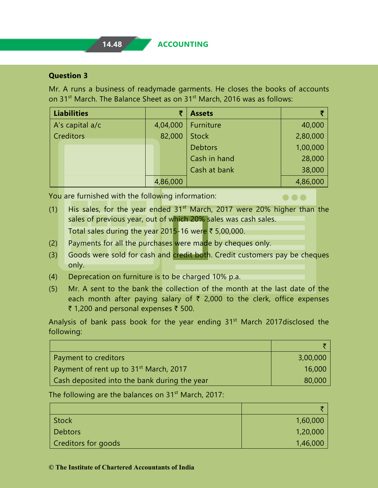#### **Question 3**

Mr. A runs a business of readymade garments. He closes the books of accounts on 31<sup>st</sup> March. The Balance Sheet as on 31<sup>st</sup> March, 2016 was as follows:

| <b>Liabilities</b> |          | <b>Assets</b>  |          |
|--------------------|----------|----------------|----------|
| A's capital a/c    | 4,04,000 | Furniture      | 40,000   |
| <b>Creditors</b>   | 82,000   | <b>Stock</b>   | 2,80,000 |
|                    |          | <b>Debtors</b> | 1,00,000 |
|                    |          | Cash in hand   | 28,000   |
|                    |          | Cash at bank   | 38,000   |
|                    | 4,86,000 |                | 4,86,000 |

You are furnished with the following information:

(1) His sales, for the year ended  $31<sup>st</sup>$  March, 2017 were 20% higher than the sales of previous year, out of which 20% sales was cash sales. Total sales during the year 2015-16 were  $\bar{\tau}$  5,00,000.

 $\bullet\bullet\bullet$ 

- (2) Payments for all the purchases were made by cheques only.
- (3) Goods were sold for cash and credit both. Credit customers pay be cheques only.
- (4) Deprecation on furniture is to be charged 10% p.a.
- (5) Mr. A sent to the bank the collection of the month at the last date of the each month after paying salary of  $\bar{\tau}$  2,000 to the clerk, office expenses ₹ 1,200 and personal expenses  $\bar{z}$  500.

Analysis of bank pass book for the year ending 31<sup>st</sup> March 2017 disclosed the following:

| Payment to creditors                               | 3,00,000 |
|----------------------------------------------------|----------|
| Payment of rent up to 31 <sup>st</sup> March, 2017 | 16,000   |
| Cash deposited into the bank during the year       | 80,000   |

The following are the balances on  $31<sup>st</sup>$  March, 2017:

| <b>Stock</b>        | 1,60,000 |
|---------------------|----------|
| <b>Debtors</b>      | 1,20,000 |
| Creditors for goods | 1,46,000 |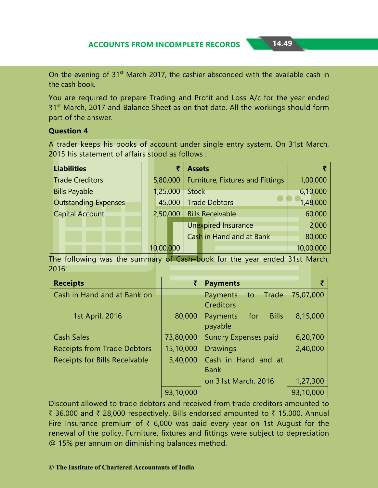On the evening of 31<sup>st</sup> March 2017, the cashier absconded with the available cash in the cash book.

You are required to prepare Trading and Profit and Loss A/c for the year ended 31<sup>st</sup> March, 2017 and Balance Sheet as on that date. All the workings should form part of the answer.

#### **Question 4**

A trader keeps his books of account under single entry system. On 31st March, 2015 his statement of affairs stood as follows :

| <b>Liabilities</b>          | ₹         | <b>Assets</b>                    |           |
|-----------------------------|-----------|----------------------------------|-----------|
| <b>Trade Creditors</b>      | 5,80,000  | Furniture, Fixtures and Fittings | 1,00,000  |
| <b>Bills Payable</b>        | 1,25,000  | <b>Stock</b>                     | 6,10,000  |
| <b>Outstanding Expenses</b> | 45,000    | <b>Trade Debtors</b>             | 1,48,000  |
| <b>Capital Account</b>      | 2,50,000  | <b>Bills Receivable</b>          | 60,000    |
|                             |           | <b>Unexpired Insurance</b>       | 2,000     |
|                             |           | Cash in Hand and at Bank         | 80,000    |
|                             | 10,00,000 |                                  | 10,00,000 |

The following was the summary of Cash–book for the year ended 31st March, 2016:

| <b>Receipts</b>                      |           | <b>Payments</b>                 |           |
|--------------------------------------|-----------|---------------------------------|-----------|
| Cash in Hand and at Bank on          |           | Trade<br>Payments<br>to         | 75,07,000 |
|                                      |           | <b>Creditors</b>                |           |
| 1st April, 2016                      | 80,000    | <b>Bills</b><br>for<br>Payments | 8,15,000  |
|                                      |           | payable                         |           |
| <b>Cash Sales</b>                    | 73,80,000 | <b>Sundry Expenses paid</b>     | 6,20,700  |
| <b>Receipts from Trade Debtors</b>   | 15,10,000 | <b>Drawings</b>                 | 2,40,000  |
| <b>Receipts for Bills Receivable</b> | 3,40,000  | Cash in Hand and at             |           |
|                                      |           | <b>Bank</b>                     |           |
|                                      |           | on 31st March, 2016             | 1,27,300  |
|                                      | 93,10,000 |                                 | 93,10,000 |

Discount allowed to trade debtors and received from trade creditors amounted to ₹ 36,000 and ₹ 28,000 respectively. Bills endorsed amounted to ₹ 15,000. Annual Fire Insurance premium of  $\bar{\tau}$  6,000 was paid every year on 1st August for the renewal of the policy. Furniture, fixtures and fittings were subject to depreciation @ 15% per annum on diminishing balances method.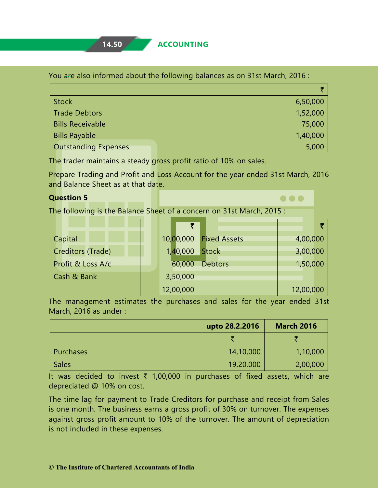#### You are also informed about the following balances as on 31st March, 2016 :

| <b>Stock</b>                | 6,50,000 |
|-----------------------------|----------|
| <b>Trade Debtors</b>        | 1,52,000 |
| <b>Bills Receivable</b>     | 75,000   |
| <b>Bills Payable</b>        | 1,40,000 |
| <b>Outstanding Expenses</b> | 5,000    |

The trader maintains a steady gross profit ratio of 10% on sales.

Prepare Trading and Profit and Loss Account for the year ended 31st March, 2016 and Balance Sheet as at that date.

 $\bullet\bullet\bullet$ 

#### **Question 5**

The following is the Balance Sheet of a concern on 31st March, 2015 :

|                   | ₹         |                     |           |
|-------------------|-----------|---------------------|-----------|
| Capital           | 10,00,000 | <b>Fixed Assets</b> | 4,00,000  |
| Creditors (Trade) | 1,40,000  | <b>Stock</b>        | 3,00,000  |
| Profit & Loss A/c | 60,000    | <b>Debtors</b>      | 1,50,000  |
| Cash & Bank       | 3,50,000  |                     |           |
|                   | 12,00,000 |                     | 12,00,000 |

The management estimates the purchases and sales for the year ended 31st March, 2016 as under :

|              | upto 28.2.2016 | <b>March 2016</b> |
|--------------|----------------|-------------------|
|              |                | ₹                 |
| Purchases    | 14,10,000      | 1,10,000          |
| <b>Sales</b> | 19,20,000      | 2,00,000          |

It was decided to invest  $\bar{\tau}$  1,00,000 in purchases of fixed assets, which are depreciated @ 10% on cost.

The time lag for payment to Trade Creditors for purchase and receipt from Sales is one month. The business earns a gross profit of 30% on turnover. The expenses against gross profit amount to 10% of the turnover. The amount of depreciation is not included in these expenses.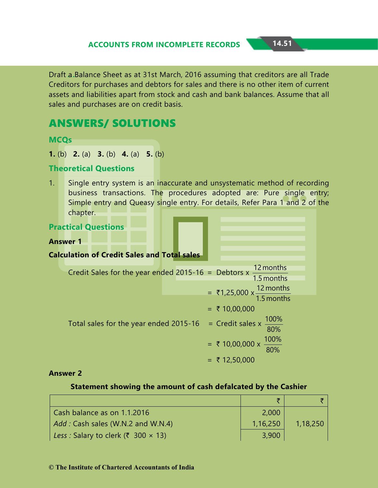Draft a Balance Sheet as at 31st March, 2016 assuming that creditors are all Trade Creditors for purchases and debtors for sales and there is no other item of current assets and liabilities apart from stock and cash and bank balances. Assume that all sales and purchases are on credit basis.

# ANSWERS/ SOLUTIONS

**MCQs** 

**1.** (b) **2.** (a) **3.** (b) **4.** (a) **5.** (b)

#### **Theoretical Questions**

1. Single entry system is an inaccurate and unsystematic method of recording business transactions. The procedures adopted are: Pure single entry; Simple entry and Queasy single entry. For details, Refer Para 1 and 2 of the chapter.

| <b>Practical Questions</b>                                                                         |                                                                   |
|----------------------------------------------------------------------------------------------------|-------------------------------------------------------------------|
| <b>Answer 1</b>                                                                                    |                                                                   |
| <b>Calculation of Credit Sales and Total sales</b>                                                 |                                                                   |
| Credit Sales for the year ended 2015-16 = Debtors x $\frac{12 \text{ months}}{1.5 \text{ months}}$ |                                                                   |
|                                                                                                    | = ₹1,25,000 $\times \frac{12 \text{ months}}{1.5 \text{ months}}$ |
|                                                                                                    | $=$ ₹ 10,00,000                                                   |
| Total sales for the year ended 2015-16 = Credit sales x $\frac{100\%}{80\%}$                       |                                                                   |
|                                                                                                    | = ₹ 10,00,000 x $\frac{100\%}{80\%}$                              |
|                                                                                                    | $=$ ₹ 12,50,000                                                   |

#### **Answer 2**

#### **Statement showing the amount of cash defalcated by the Cashier**

| Cash balance as on 1.1.2016                | 2,000    |          |
|--------------------------------------------|----------|----------|
| Add: Cash sales (W.N.2 and W.N.4)          | 1,16,250 | 1,18,250 |
| Less : Salary to clerk (₹ 300 $\times$ 13) | 3,900    |          |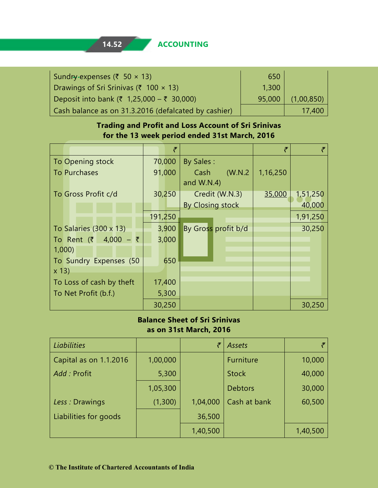| Sundry-expenses (₹ 50 $\times$ 13)                   | 650    |            |
|------------------------------------------------------|--------|------------|
| Drawings of Sri Srinivas (₹ 100 $\times$ 13)         | 1,300  |            |
| Deposit into bank (₹ 1,25,000 – ₹ 30,000)            | 95,000 | (1,00,850) |
| Cash balance as on 31.3.2016 (defalcated by cashier) |        | 17,400     |

#### **Trading and Profit and Loss Account of Sri Srinivas for the 13 week period ended 31st March, 2016**

|                               | ₹       |                     | ₹        | ₹        |
|-------------------------------|---------|---------------------|----------|----------|
| To Opening stock              | 70,000  | <b>By Sales:</b>    |          |          |
| <b>To Purchases</b>           | 91,000  | (W.N.2)<br>Cash     | 1,16,250 |          |
|                               |         | and W.N.4)          |          |          |
| To Gross Profit c/d           | 30,250  | Credit (W.N.3)      | 35,000   | 1,51,250 |
|                               |         | By Closing stock    |          | 40,000   |
|                               | 191,250 |                     |          | 1,91,250 |
| To Salaries $(300 \times 13)$ | 3,900   | By Gross profit b/d |          | 30,250   |
| To Rent (₹ 4,000 – ₹          | 3,000   |                     |          |          |
| 1,000                         |         |                     |          |          |
| To Sundry Expenses (50        | 650     |                     |          |          |
| $x$ 13)                       |         |                     |          |          |
| To Loss of cash by theft      | 17,400  |                     |          |          |
| To Net Profit (b.f.)          | 5,300   |                     |          |          |
|                               | 30,250  |                     |          | 30,250   |

#### **Balance Sheet of Sri Srinivas as on 31st March, 2016**

| <b>Liabilities</b>     |          | ₹        | Assets         |          |
|------------------------|----------|----------|----------------|----------|
| Capital as on 1.1.2016 | 1,00,000 |          | Furniture      | 10,000   |
| Add: Profit            | 5,300    |          | <b>Stock</b>   | 40,000   |
|                        | 1,05,300 |          | <b>Debtors</b> | 30,000   |
| Less: Drawings         | (1,300)  | 1,04,000 | Cash at bank   | 60,500   |
| Liabilities for goods  |          | 36,500   |                |          |
|                        |          | 1,40,500 |                | 1,40,500 |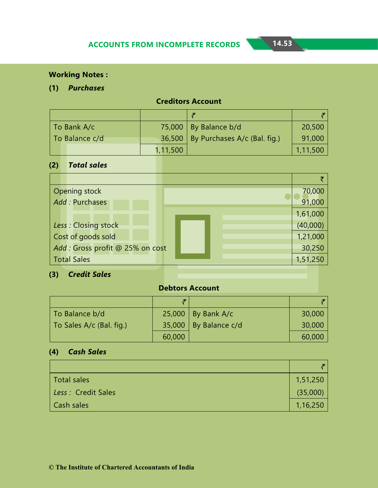#### **Working Notes :**

#### **(1)** *Purchases*

| To Bank A/c    |          | 75,000   By Balance b/d                 | 20,500   |
|----------------|----------|-----------------------------------------|----------|
| To Balance c/d |          | $36,500$   By Purchases A/c (Bal. fig.) | 91,000   |
|                | 1,11,500 |                                         | 1,11,500 |

# **Creditors Account**

#### **(2)** *Total sales*

| <b>Opening stock</b>             | 70,000   |
|----------------------------------|----------|
| Add: Purchases                   | 91,000   |
|                                  | 1,61,000 |
| Less: Closing stock              | (40,000) |
| Cost of goods sold               | 1,21,000 |
| Add : Gross profit @ 25% on cost | 30,250   |
| <b>Total Sales</b>               | 1,51,250 |

# **(3)** *Credit Sales*

### **Debtors Account**

| To Balance b/d           |        | $25,000$   By Bank A/c  | 30,000 |
|--------------------------|--------|-------------------------|--------|
| To Sales A/c (Bal. fig.) |        | 35,000   By Balance c/d | 30,000 |
|                          | 60,000 |                         | 60,000 |

# **(4)** *Cash Sales*

| Total sales        | 1,51,250 |
|--------------------|----------|
| Less: Credit Sales | (35,000) |
| Cash sales         | 1,16,250 |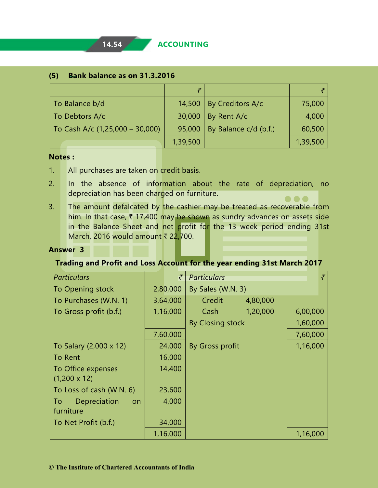| (5) Bank balance as on 31.3.2016 |  |  |
|----------------------------------|--|--|
|----------------------------------|--|--|

| To Balance b/d                          |          | 14,500   By Creditors $A/c$ | 75,000   |
|-----------------------------------------|----------|-----------------------------|----------|
| To Debtors A/c                          | 30,000   | By Rent A/c                 | 4,000    |
| $\vert$ To Cash A/c (1,25,000 - 30,000) | 95,000   | By Balance c/d (b.f.)       | 60,500   |
|                                         | 1,39,500 |                             | 1,39,500 |

#### **Notes :**

- 1. All purchases are taken on credit basis.
- 2. In the absence of information about the rate of depreciation, no depreciation has been charged on furniture. . . .
- 3. The amount defalcated by the cashier may be treated as recoverable from him. In that case,  $\bar{\tau}$  17,400 may be shown as sundry advances on assets side in the Balance Sheet and net profit for the 13 week period ending 31st March, 2016 would amount  $\bar{\tau}$  22,700.

#### **Answer 3**

#### **Trading and Profit and Loss Account for the year ending 31st March 2017**

| <b>Particulars</b>        | ₹        | <b>Particulars</b> | $\tilde{\tau}$ |
|---------------------------|----------|--------------------|----------------|
| To Opening stock          | 2,80,000 | By Sales (W.N. 3)  |                |
| To Purchases (W.N. 1)     | 3,64,000 | Credit<br>4,80,000 |                |
| To Gross profit (b.f.)    | 1,16,000 | Cash<br>1,20,000   | 6,00,000       |
|                           |          | By Closing stock   | 1,60,000       |
|                           | 7,60,000 |                    | 7,60,000       |
| To Salary (2,000 x 12)    | 24,000   | By Gross profit    | 1,16,000       |
| To Rent                   | 16,000   |                    |                |
| To Office expenses        | 14,400   |                    |                |
| $(1,200 \times 12)$       |          |                    |                |
| To Loss of cash (W.N. 6)  | 23,600   |                    |                |
| Depreciation<br>To<br>on. | 4,000    |                    |                |
| furniture                 |          |                    |                |
| To Net Profit (b.f.)      | 34,000   |                    |                |
|                           | 1,16,000 |                    | 1,16,000       |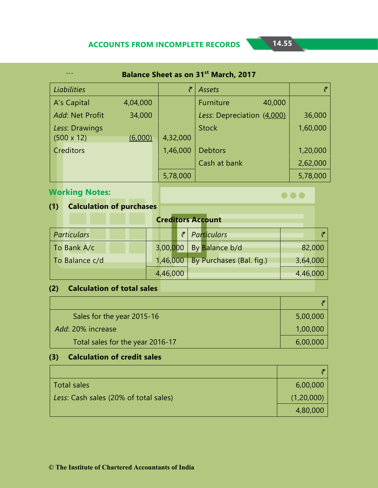| <b>Balance Sheet as on 31st March, 2017</b><br> |          |          |                            |          |  |  |  |
|-------------------------------------------------|----------|----------|----------------------------|----------|--|--|--|
| <b>Liabilities</b>                              |          | ₹        | <b>Assets</b>              | ₹        |  |  |  |
| A's Capital                                     | 4,04,000 |          | Furniture<br>40,000        |          |  |  |  |
| Add: Net Profit                                 | 34,000   |          | Less: Depreciation (4,000) | 36,000   |  |  |  |
| Less: Drawings                                  |          |          | <b>Stock</b>               | 1,60,000 |  |  |  |
| $(500 \times 12)$                               | (6,000)  | 4,32,000 |                            |          |  |  |  |
| Creditors                                       |          | 1,46,000 | <b>Debtors</b>             | 1,20,000 |  |  |  |
|                                                 |          |          | Cash at bank               | 2,62,000 |  |  |  |
|                                                 |          | 5,78,000 |                            | 5,78,000 |  |  |  |

# **Working Notes:**

 $\bullet\bullet\bullet$ 

# **(1) Calculation of purchases**

#### **Creditors Account**

| <b>Particulars</b> |          | $\bar{z}$ Particulars             |          |
|--------------------|----------|-----------------------------------|----------|
| To Bank A/c        |          | 3,00,000 By Balance b/d           | 82,000   |
| To Balance c/d     |          | 1,46,000 By Purchases (Bal. fig.) | 3,64,000 |
|                    | 4,46,000 |                                   | 4,46,000 |

# **(2) Calculation of total sales**

| Sales for the year 2015-16       | 5,00,000 |
|----------------------------------|----------|
| Add: 20% increase                | 1,00,000 |
| Total sales for the year 2016-17 | 6,00,000 |

# **(3) Calculation of credit sales**

| Total sales                           | 6,00,000   |
|---------------------------------------|------------|
| Less: Cash sales (20% of total sales) | (1,20,000) |
|                                       | 4,80,000   |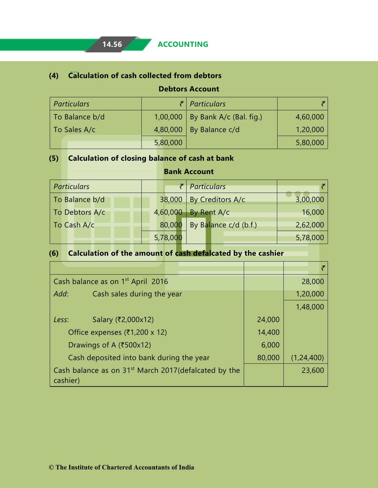# **(4) Calculation of cash collected from debtors**

**Debtors Account**

| <b>Particulars</b> |          | $\bar{z}$ Particulars              |          |
|--------------------|----------|------------------------------------|----------|
| To Balance b/d     |          | 1,00,000   By Bank A/c (Bal. fig.) | 4,60,000 |
| To Sales A/c       |          | 4,80,000   By Balance $c/d$        | 1,20,000 |
|                    | 5,80,000 |                                    | 5,80,000 |

# **(5) Calculation of closing balance of cash at bank**

| <b>Particulars</b> |                                 | $\bar{z}$ Particulars |          |
|--------------------|---------------------------------|-----------------------|----------|
| To Balance b/d     | 38,000                          | By Creditors A/c      | 3,00,000 |
| To Debtors A/c     | 4,60,000                        | By Rent A/c           | 16,000   |
| To Cash A/c        | By Balance c/d (b.f.)<br>80,000 |                       | 2,62,000 |
|                    | 5,78,000                        |                       | 5,78,000 |

**Bank Account**

# **(6) Calculation of the amount of cash defalcated by the cashier**

|          | Cash balance as on 1 <sup>st</sup> April 2016                     |        | 28,000       |
|----------|-------------------------------------------------------------------|--------|--------------|
| Add:     | Cash sales during the year                                        |        | 1,20,000     |
|          |                                                                   |        | 1,48,000     |
| Less:    | Salary (₹2,000x12)                                                | 24,000 |              |
|          | Office expenses (₹1,200 x 12)                                     | 14,400 |              |
|          | Drawings of A (₹500x12)                                           | 6,000  |              |
|          | Cash deposited into bank during the year                          | 80,000 | (1, 24, 400) |
| cashier) | Cash balance as on 31 <sup>st</sup> March 2017 (defalcated by the |        | 23,600       |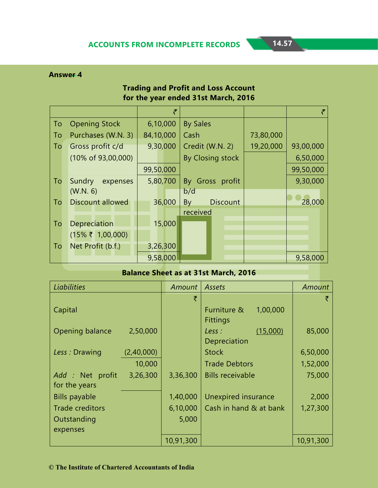#### **Trading and Profit and Loss Account for the year ended 31st March, 2016**

|           |                                | ₹         |                       |           |           |
|-----------|--------------------------------|-----------|-----------------------|-----------|-----------|
| To        | <b>Opening Stock</b>           | 6,10,000  | <b>By Sales</b>       |           |           |
| To        | Purchases (W.N. 3)             | 84,10,000 | Cash                  | 73,80,000 |           |
| To        | Gross profit c/d               | 9,30,000  | Credit (W.N. 2)       | 19,20,000 | 93,00,000 |
|           | $(10\% \text{ of } 93,00,000)$ |           | By Closing stock      |           | 6,50,000  |
|           |                                | 99,50,000 |                       |           | 99,50,000 |
| To        | Sundry<br>expenses             | 5,80,700  | By Gross profit       |           | 9,30,000  |
|           | (W.N. 6)                       |           | b/d                   |           |           |
| To        | <b>Discount allowed</b>        | 36,000    | <b>Discount</b><br>By |           | 28,000    |
|           |                                |           | received              |           |           |
| To        | Depreciation                   | 15,000    |                       |           |           |
|           | $(15\% \t{7} 1,00,000)$        |           |                       |           |           |
| <b>To</b> | Net Profit (b.f.)              | 3,26,300  |                       |           |           |
|           |                                | 9,58,000  |                       |           | 9,58,000  |

#### **Balance Sheet as at 31st March, 2016**

| <b>Liabilities</b>     |            | Amount    | Assets                     | Amount    |
|------------------------|------------|-----------|----------------------------|-----------|
|                        |            | ₹         |                            |           |
| Capital                |            |           | 1,00,000<br>Furniture &    |           |
|                        |            |           | <b>Fittings</b>            |           |
| Opening balance        | 2,50,000   |           | (15,000)<br>Less :         | 85,000    |
|                        |            |           | Depreciation               |           |
| Less: Drawing          | (2,40,000) |           | <b>Stock</b>               | 6,50,000  |
|                        | 10,000     |           | <b>Trade Debtors</b>       | 1,52,000  |
| Add : Net profit       | 3,26,300   | 3,36,300  | <b>Bills receivable</b>    | 75,000    |
| for the years          |            |           |                            |           |
| <b>Bills payable</b>   |            | 1,40,000  | <b>Unexpired insurance</b> | 2,000     |
| <b>Trade creditors</b> |            | 6,10,000  | Cash in hand & at bank     | 1,27,300  |
| Outstanding            |            | 5,000     |                            |           |
| expenses               |            |           |                            |           |
|                        |            | 10,91,300 |                            | 10,91,300 |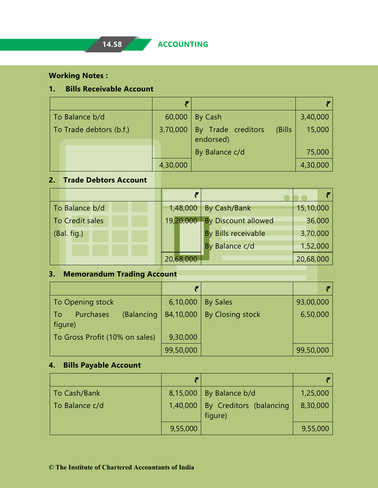#### **Working Notes :**

#### **1. Bills Receivable Account**

| To Balance b/d          | 60,000   | By Cash                                    | 3,40,000 |
|-------------------------|----------|--------------------------------------------|----------|
| To Trade debtors (b.f.) | 3,70,000 | By Trade creditors<br>(Bills)<br>endorsed) | 15,000   |
|                         |          | By Balance c/d                             | 75,000   |
|                         | 4,30,000 |                                            | 4,30,000 |

# **2. Trade Debtors Account**

| To Balance b/d  | 1,48,000  | By Cash/Bank        | 15,10,000 |
|-----------------|-----------|---------------------|-----------|
| To Credit sales | 19,20,000 | By Discount allowed | 36,000    |
| (Bal. fig.)     |           | By Bills receivable | 3,70,000  |
|                 |           | By Balance c/d      | 1,52,000  |
|                 | 20,68,000 |                     | 20,68,000 |

# **3. Memorandum Trading Account**

| To Opening stock                         | 6,10,000  | <b>By Sales</b>  | 93,00,000 |
|------------------------------------------|-----------|------------------|-----------|
| (Balancing<br>Purchases<br>To<br>figure) | 84,10,000 | By Closing stock | 6,50,000  |
| To Gross Profit (10% on sales)           | 9,30,000  |                  |           |
|                                          | 99,50,000 |                  | 99,50,000 |

#### **4. Bills Payable Account**

| To Cash/Bank   |          | $8,15,000$   By Balance b/d        | 1,25,000 |
|----------------|----------|------------------------------------|----------|
| To Balance c/d | 1,40,000 | By Creditors (balancing<br>figure) | 8,30,000 |
|                | 9,55,000 |                                    | 9,55,000 |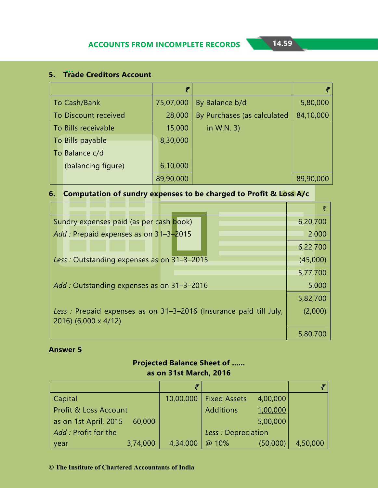# **5. Trade Creditors Account**

|                      | ₹         |                             |           |
|----------------------|-----------|-----------------------------|-----------|
| To Cash/Bank         | 75,07,000 | By Balance b/d              | 5,80,000  |
| To Discount received | 28,000    | By Purchases (as calculated | 84,10,000 |
| To Bills receivable  | 15,000    | in W.N. 3)                  |           |
| To Bills payable     | 8,30,000  |                             |           |
| To Balance c/d       |           |                             |           |
| (balancing figure)   | 6,10,000  |                             |           |
|                      | 89,90,000 |                             | 89,90,000 |

#### **6. Computation of sundry expenses to be charged to Profit & Loss A/c**

| Sundry expenses paid (as per cash book)                           | 6,20,700 |       |
|-------------------------------------------------------------------|----------|-------|
| Add: Prepaid expenses as on 31-3-2015                             |          | 2,000 |
|                                                                   | 6,22,700 |       |
| Less: Outstanding expenses as on 31-3-2015                        | (45,000) |       |
|                                                                   | 5,77,700 |       |
| Add: Outstanding expenses as on 31-3-2016                         |          | 5,000 |
|                                                                   | 5,82,700 |       |
| Less: Prepaid expenses as on 31-3-2016 (Insurance paid till July, | (2,000)  |       |
| 2016) (6,000 x 4/12)                                              |          |       |
|                                                                   | 5,80,700 |       |

#### **Answer 5**

#### **Projected Balance Sheet of ...... as on 31st March, 2016**

| Capital                         | 10,00,000 | <b>Fixed Assets</b> | 4,00,000 |          |
|---------------------------------|-----------|---------------------|----------|----------|
| Profit & Loss Account           |           | <b>Additions</b>    | 1,00,000 |          |
| as on 1st April, 2015<br>60,000 |           |                     | 5,00,000 |          |
| Add : Profit for the            |           | Less : Depreciation |          |          |
| 3,74,000<br>year                | 4,34,000  | @ 10%               | (50,000) | 4,50,000 |